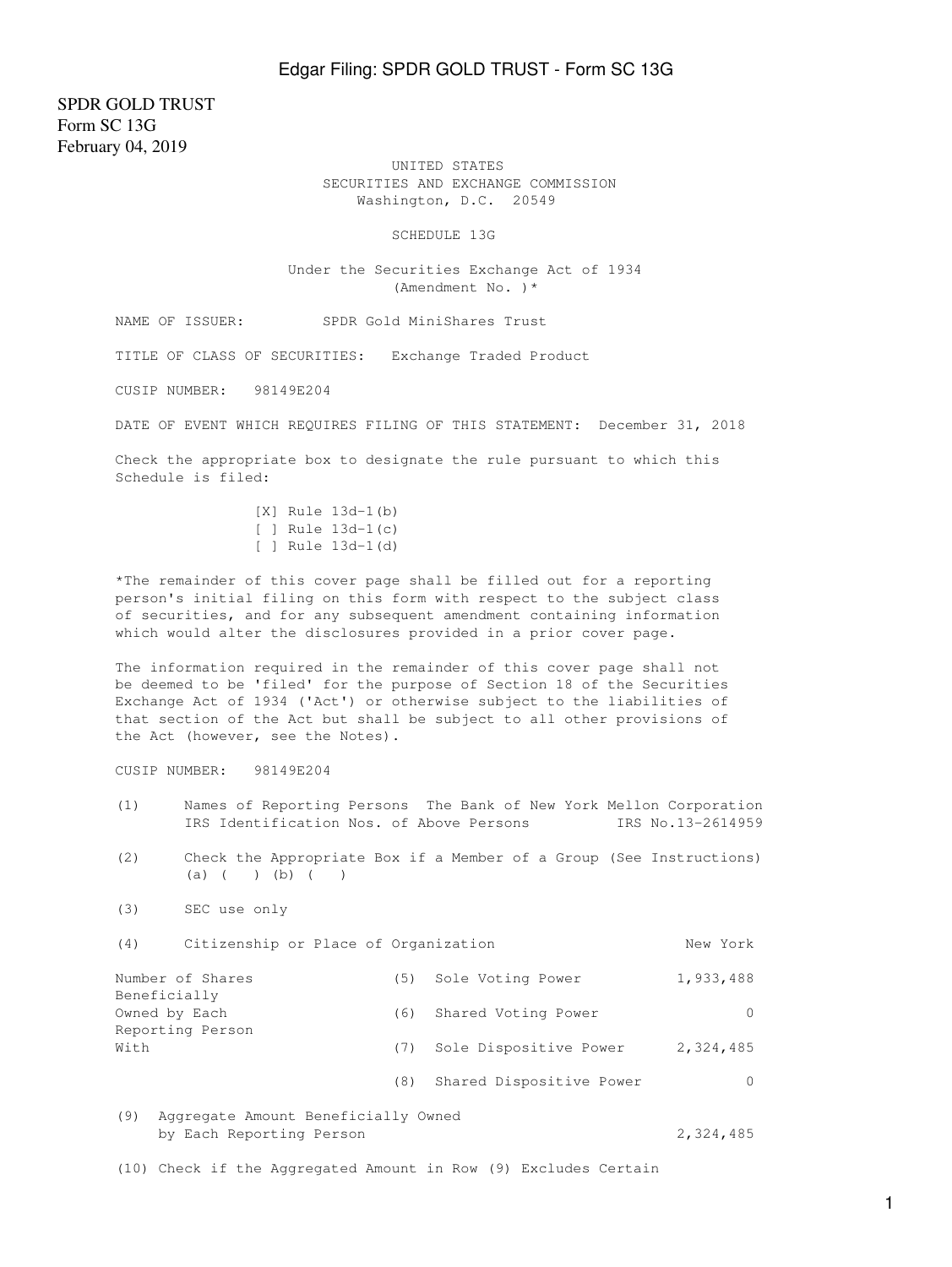SPDR GOLD TRUST Form SC 13G February 04, 2019

> UNITED STATES SECURITIES AND EXCHANGE COMMISSION Washington, D.C. 20549

> > SCHEDULE 13G

 Under the Securities Exchange Act of 1934 (Amendment No. )\*

NAME OF ISSUER: SPDR Gold MiniShares Trust

TITLE OF CLASS OF SECURITIES: Exchange Traded Product

CUSIP NUMBER: 98149E204

DATE OF EVENT WHICH REQUIRES FILING OF THIS STATEMENT: December 31, 2018

Check the appropriate box to designate the rule pursuant to which this Schedule is filed:

> [X] Rule 13d-1(b) [ ] Rule 13d-1(c) [ ] Rule 13d-1(d)

\*The remainder of this cover page shall be filled out for a reporting person's initial filing on this form with respect to the subject class of securities, and for any subsequent amendment containing information which would alter the disclosures provided in a prior cover page.

The information required in the remainder of this cover page shall not be deemed to be 'filed' for the purpose of Section 18 of the Securities Exchange Act of 1934 ('Act') or otherwise subject to the liabilities of that section of the Act but shall be subject to all other provisions of the Act (however, see the Notes).

CUSIP NUMBER: 98149E204

- (1) Names of Reporting Persons The Bank of New York Mellon Corporation IRS Identification Nos. of Above Persons IRS No.13-2614959
- (2) Check the Appropriate Box if a Member of a Group (See Instructions) (a) ( ) (b) ( )
- (3) SEC use only

(4) Citizenship or Place of Organization New York Number of Shares (5) Sole Voting Power 1,933,488 Beneficially<br>Owned by Each (6) Shared Voting Power 0 Reporting Person With  $(7)$  Sole Dispositive Power 2,324,485 (8) Shared Dispositive Power 0

(9) Aggregate Amount Beneficially Owned by Each Reporting Person 2,324,485

(10) Check if the Aggregated Amount in Row (9) Excludes Certain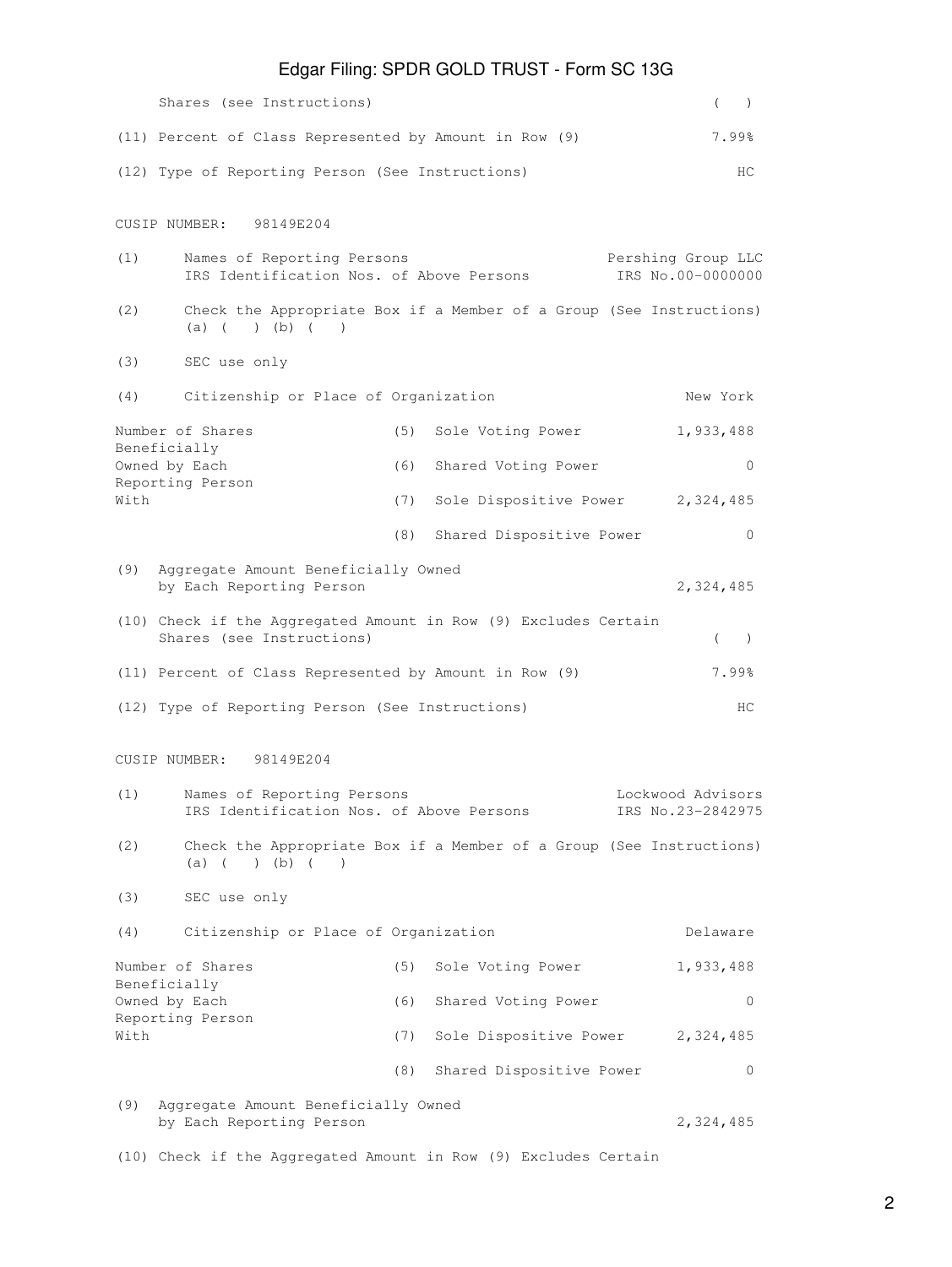|                                                                                                                         | Shares (see Instructions)                                                                                         |     |                                    |  |           | $\rightarrow$ |
|-------------------------------------------------------------------------------------------------------------------------|-------------------------------------------------------------------------------------------------------------------|-----|------------------------------------|--|-----------|---------------|
|                                                                                                                         | (11) Percent of Class Represented by Amount in Row (9)                                                            |     |                                    |  |           | 7.99%         |
| (12) Type of Reporting Person (See Instructions)<br>HC.                                                                 |                                                                                                                   |     |                                    |  |           |               |
|                                                                                                                         | CUSIP NUMBER: 98149E204                                                                                           |     |                                    |  |           |               |
| (1)                                                                                                                     | Names of Reporting Persons<br>Pershing Group LLC<br>IRS Identification Nos. of Above Persons<br>IRS No.00-0000000 |     |                                    |  |           |               |
| (2)                                                                                                                     | Check the Appropriate Box if a Member of a Group (See Instructions)<br>$(a)$ ( ) (b) ( )                          |     |                                    |  |           |               |
| (3)                                                                                                                     | SEC use only                                                                                                      |     |                                    |  |           |               |
| (4)                                                                                                                     | Citizenship or Place of Organization                                                                              |     |                                    |  | New York  |               |
|                                                                                                                         | Number of Shares                                                                                                  | (5) | Sole Voting Power                  |  | 1,933,488 |               |
|                                                                                                                         | Beneficially<br>Owned by Each                                                                                     | (6) | Shared Voting Power                |  |           | 0             |
| With                                                                                                                    | Reporting Person                                                                                                  | (7) | Sole Dispositive Power 2, 324, 485 |  |           |               |
|                                                                                                                         |                                                                                                                   | (8) | Shared Dispositive Power           |  |           | 0             |
| (9)                                                                                                                     | Aggregate Amount Beneficially Owned<br>by Each Reporting Person                                                   |     |                                    |  | 2,324,485 |               |
|                                                                                                                         | (10) Check if the Aggregated Amount in Row (9) Excludes Certain<br>Shares (see Instructions)                      |     |                                    |  | $\left($  | $\rightarrow$ |
|                                                                                                                         | (11) Percent of Class Represented by Amount in Row (9)                                                            |     |                                    |  | 7.99%     |               |
|                                                                                                                         | (12) Type of Reporting Person (See Instructions)                                                                  |     |                                    |  |           | HС            |
|                                                                                                                         | CUSIP NUMBER: 98149E204                                                                                           |     |                                    |  |           |               |
| Names of Reporting Persons<br>Lockwood Advisors<br>(1)<br>IRS Identification Nos. of Above Persons<br>IRS No.23-2842975 |                                                                                                                   |     |                                    |  |           |               |
| (2)                                                                                                                     | Check the Appropriate Box if a Member of a Group (See Instructions)<br>) (b) (<br>$(a)$ (<br>$\rightarrow$        |     |                                    |  |           |               |
| (3)                                                                                                                     | SEC use only                                                                                                      |     |                                    |  |           |               |
| (4)                                                                                                                     | Citizenship or Place of Organization                                                                              |     |                                    |  | Delaware  |               |
|                                                                                                                         | Number of Shares                                                                                                  | (5) | Sole Voting Power                  |  | 1,933,488 |               |
| Beneficially<br>Owned by Each                                                                                           |                                                                                                                   | (6) | Shared Voting Power                |  |           | 0             |
| With                                                                                                                    | Reporting Person                                                                                                  | (7) | Sole Dispositive Power             |  | 2,324,485 |               |
|                                                                                                                         |                                                                                                                   | (8) | Shared Dispositive Power           |  |           | 0             |
| (9)                                                                                                                     | Aggregate Amount Beneficially Owned<br>by Each Reporting Person                                                   |     |                                    |  | 2,324,485 |               |

(10) Check if the Aggregated Amount in Row (9) Excludes Certain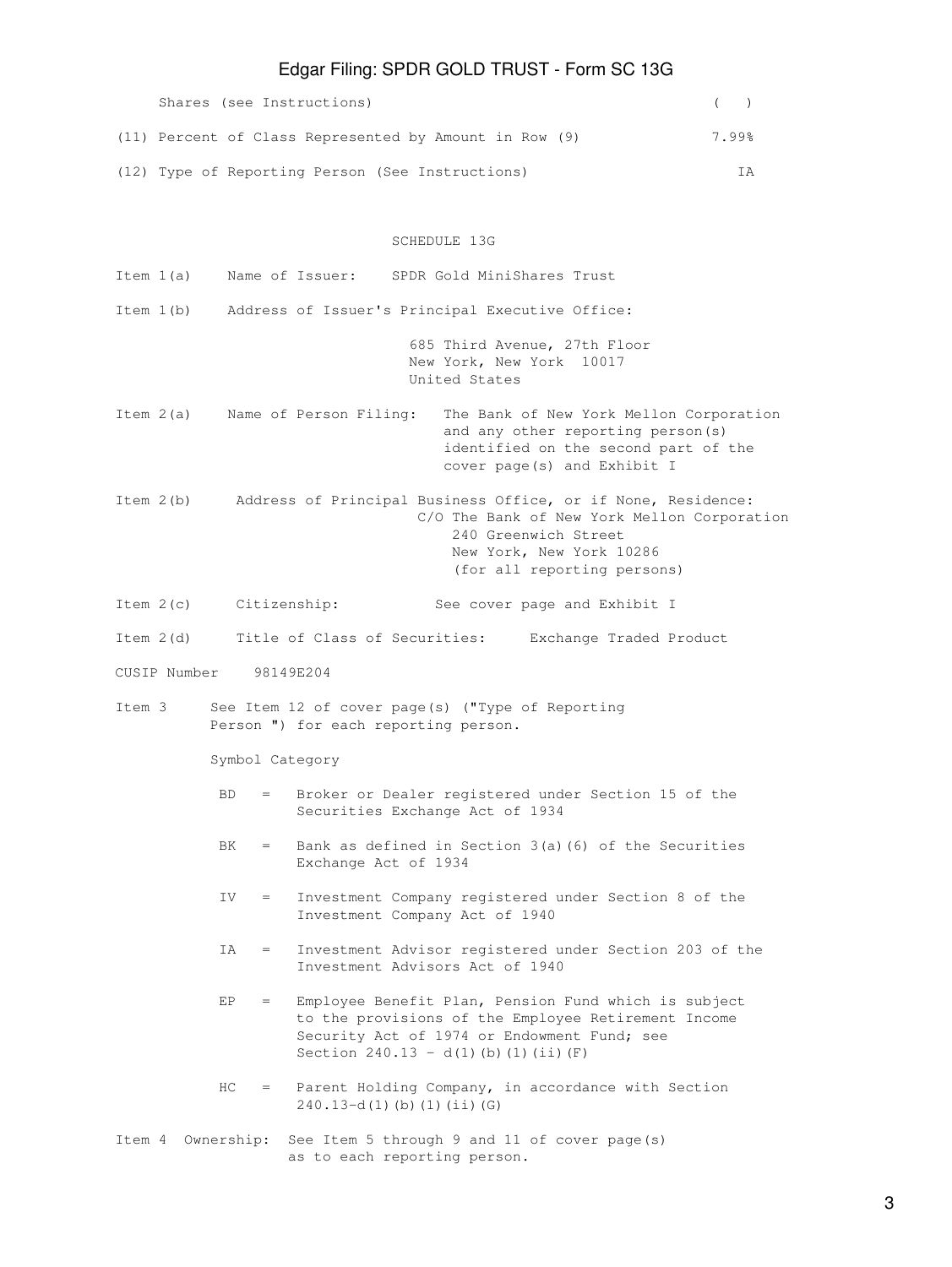| Shares (see Instructions)                              |       |  |
|--------------------------------------------------------|-------|--|
| (11) Percent of Class Represented by Amount in Row (9) | 7.99% |  |
| (12) Type of Reporting Person (See Instructions)       |       |  |

### SCHEDULE 13G

| Item 1(a)    | Name of Issuer:<br>SPDR Gold MiniShares Trust                                                                                                                                                                |
|--------------|--------------------------------------------------------------------------------------------------------------------------------------------------------------------------------------------------------------|
| Item 1(b)    | Address of Issuer's Principal Executive Office:                                                                                                                                                              |
|              | 685 Third Avenue, 27th Floor<br>New York, New York 10017<br>United States                                                                                                                                    |
| Item 2(a)    | Name of Person Filing:<br>The Bank of New York Mellon Corporation<br>and any other reporting person(s)<br>identified on the second part of the<br>cover page(s) and Exhibit I                                |
| Item $2(b)$  | Address of Principal Business Office, or if None, Residence:<br>C/O The Bank of New York Mellon Corporation<br>240 Greenwich Street<br>New York, New York 10286<br>(for all reporting persons)               |
| Item $2(c)$  | Citizenship:<br>See cover page and Exhibit I                                                                                                                                                                 |
| Item 2(d)    | Title of Class of Securities: Exchange Traded Product                                                                                                                                                        |
| CUSIP Number | 98149E204                                                                                                                                                                                                    |
| Ttem 3       | See Item 12 of cover page(s) ("Type of Reporting<br>Person ") for each reporting person.                                                                                                                     |
|              | Symbol Category                                                                                                                                                                                              |
|              | Broker or Dealer registered under Section 15 of the<br>BD.<br>$=$<br>Securities Exchange Act of 1934                                                                                                         |
|              | Bank as defined in Section $3(a)$ (6) of the Securities<br>BK.<br>$=$<br>Exchange Act of 1934                                                                                                                |
|              | Investment Company registered under Section 8 of the<br>IV.<br>$=$<br>Investment Company Act of 1940                                                                                                         |
|              | Investment Advisor registered under Section 203 of the<br>IA<br>$=$<br>Investment Advisors Act of 1940                                                                                                       |
|              | Employee Benefit Plan, Pension Fund which is subject<br>EP<br>to the provisions of the Employee Retirement Income<br>Security Act of 1974 or Endowment Fund; see<br>Section $240.13 - d(1)$ (b) (1) (ii) (F) |
|              | Parent Holding Company, in accordance with Section<br>HC.<br>$=$<br>$240.13-d(1)$ (b) (1) (ii) (G)                                                                                                           |
| Item 4       | See Item 5 through 9 and 11 of cover page(s)<br>Ownership:<br>as to each reporting person.                                                                                                                   |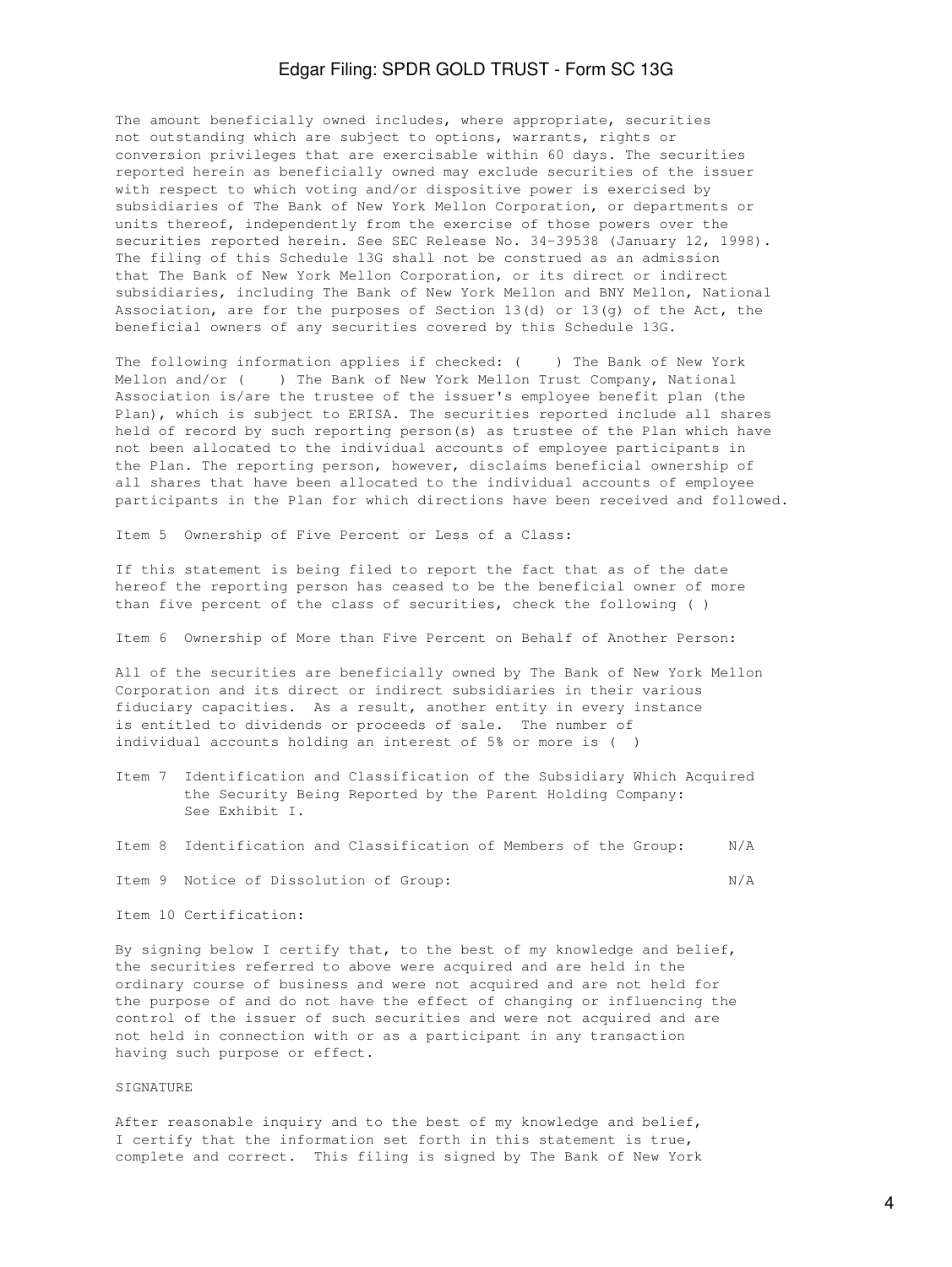The amount beneficially owned includes, where appropriate, securities not outstanding which are subject to options, warrants, rights or conversion privileges that are exercisable within 60 days. The securities reported herein as beneficially owned may exclude securities of the issuer with respect to which voting and/or dispositive power is exercised by subsidiaries of The Bank of New York Mellon Corporation, or departments or units thereof, independently from the exercise of those powers over the securities reported herein. See SEC Release No. 34-39538 (January 12, 1998). The filing of this Schedule 13G shall not be construed as an admission that The Bank of New York Mellon Corporation, or its direct or indirect subsidiaries, including The Bank of New York Mellon and BNY Mellon, National Association, are for the purposes of Section 13(d) or 13(g) of the Act, the beneficial owners of any securities covered by this Schedule 13G.

The following information applies if checked: ( ) The Bank of New York Mellon and/or ( ) The Bank of New York Mellon Trust Company, National Association is/are the trustee of the issuer's employee benefit plan (the Plan), which is subject to ERISA. The securities reported include all shares held of record by such reporting person(s) as trustee of the Plan which have not been allocated to the individual accounts of employee participants in the Plan. The reporting person, however, disclaims beneficial ownership of all shares that have been allocated to the individual accounts of employee participants in the Plan for which directions have been received and followed.

Item 5 Ownership of Five Percent or Less of a Class:

If this statement is being filed to report the fact that as of the date hereof the reporting person has ceased to be the beneficial owner of more than five percent of the class of securities, check the following ( )

Item 6 Ownership of More than Five Percent on Behalf of Another Person:

All of the securities are beneficially owned by The Bank of New York Mellon Corporation and its direct or indirect subsidiaries in their various fiduciary capacities. As a result, another entity in every instance is entitled to dividends or proceeds of sale. The number of individual accounts holding an interest of 5% or more is ( )

- Item 7 Identification and Classification of the Subsidiary Which Acquired the Security Being Reported by the Parent Holding Company: See Exhibit I.
- Item 8 Identification and Classification of Members of the Group: N/A

Item 9 Notice of Dissolution of Group: N/A

Item 10 Certification:

By signing below I certify that, to the best of my knowledge and belief, the securities referred to above were acquired and are held in the ordinary course of business and were not acquired and are not held for the purpose of and do not have the effect of changing or influencing the control of the issuer of such securities and were not acquired and are not held in connection with or as a participant in any transaction having such purpose or effect.

#### SIGNATURE

After reasonable inquiry and to the best of my knowledge and belief, I certify that the information set forth in this statement is true, complete and correct. This filing is signed by The Bank of New York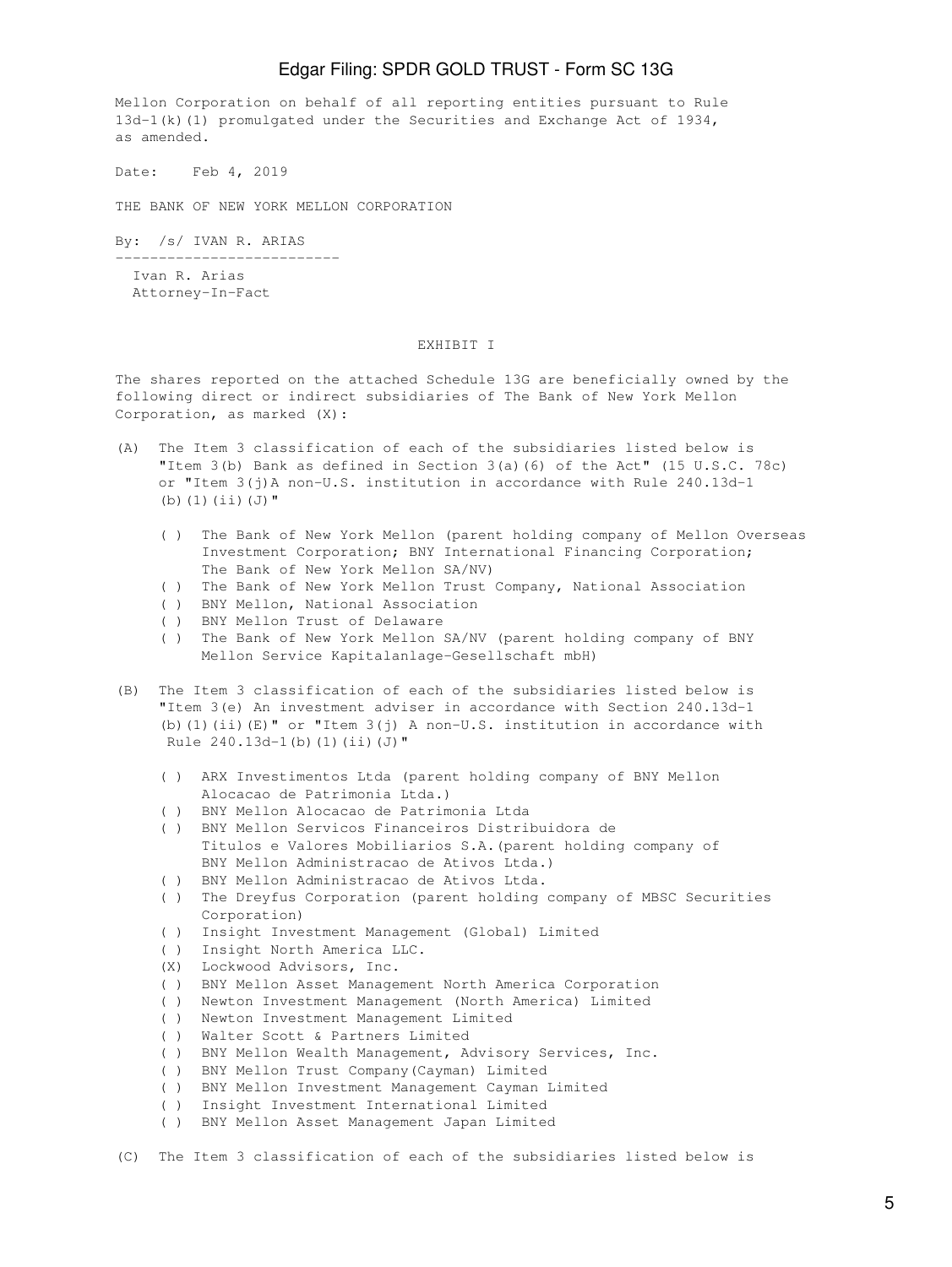Mellon Corporation on behalf of all reporting entities pursuant to Rule 13d-1(k)(1) promulgated under the Securities and Exchange Act of 1934, as amended.

Date: Feb 4, 2019

THE BANK OF NEW YORK MELLON CORPORATION

By: /s/ IVAN R. ARIAS

--------------------------

 Ivan R. Arias Attorney-In-Fact

#### EXHIBIT I

The shares reported on the attached Schedule 13G are beneficially owned by the following direct or indirect subsidiaries of The Bank of New York Mellon Corporation, as marked (X):

- (A) The Item 3 classification of each of the subsidiaries listed below is "Item 3(b) Bank as defined in Section 3(a)(6) of the Act" (15 U.S.C. 78c) or "Item 3(j)A non-U.S. institution in accordance with Rule 240.13d-1 (b)(1)(ii)(J)"
	- ( ) The Bank of New York Mellon (parent holding company of Mellon Overseas Investment Corporation; BNY International Financing Corporation; The Bank of New York Mellon SA/NV)
	- ( ) The Bank of New York Mellon Trust Company, National Association
	- ( ) BNY Mellon, National Association
	- ( ) BNY Mellon Trust of Delaware
	- ( ) The Bank of New York Mellon SA/NV (parent holding company of BNY Mellon Service Kapitalanlage-Gesellschaft mbH)
- (B) The Item 3 classification of each of the subsidiaries listed below is "Item 3(e) An investment adviser in accordance with Section 240.13d-1 (b)(1)(ii)(E)" or "Item  $3(j)$  A non-U.S. institution in accordance with Rule  $240.13d-1(b)$  (1)(ii)(J)"
	- ( ) ARX Investimentos Ltda (parent holding company of BNY Mellon Alocacao de Patrimonia Ltda.)
	- ( ) BNY Mellon Alocacao de Patrimonia Ltda
	- ( ) BNY Mellon Servicos Financeiros Distribuidora de Titulos e Valores Mobiliarios S.A.(parent holding company of BNY Mellon Administracao de Ativos Ltda.)
	- ( ) BNY Mellon Administracao de Ativos Ltda.
	- ( ) The Dreyfus Corporation (parent holding company of MBSC Securities Corporation)
	- ( ) Insight Investment Management (Global) Limited
	- ( ) Insight North America LLC.
	- (X) Lockwood Advisors, Inc.
	- ( ) BNY Mellon Asset Management North America Corporation
	- ( ) Newton Investment Management (North America) Limited
	- ( ) Newton Investment Management Limited
	- ( ) Walter Scott & Partners Limited
	- ( ) BNY Mellon Wealth Management, Advisory Services, Inc.
	- ( ) BNY Mellon Trust Company(Cayman) Limited
	- ( ) BNY Mellon Investment Management Cayman Limited
	- ( ) Insight Investment International Limited
	- ( ) BNY Mellon Asset Management Japan Limited
- (C) The Item 3 classification of each of the subsidiaries listed below is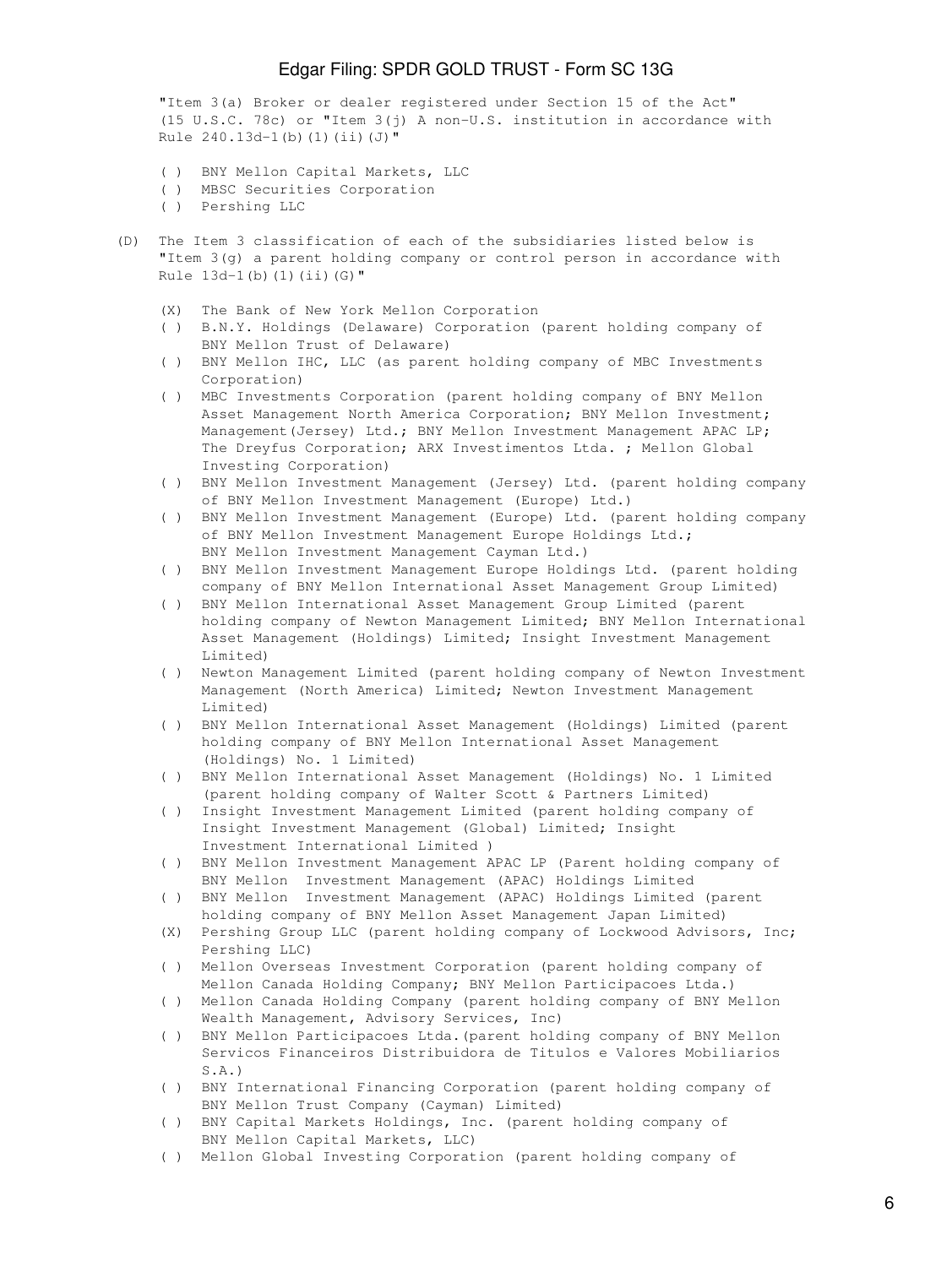"Item 3(a) Broker or dealer registered under Section 15 of the Act" (15 U.S.C. 78c) or "Item 3(j) A non-U.S. institution in accordance with Rule 240.13d-1(b)(1)(ii)(J)"

- ( ) BNY Mellon Capital Markets, LLC
- ( ) MBSC Securities Corporation
- ( ) Pershing LLC
- (D) The Item 3 classification of each of the subsidiaries listed below is "Item 3(g) a parent holding company or control person in accordance with Rule  $13d-1(b)$  (1)(ii)(G)"
	- (X) The Bank of New York Mellon Corporation
	- ( ) B.N.Y. Holdings (Delaware) Corporation (parent holding company of BNY Mellon Trust of Delaware)
	- ( ) BNY Mellon IHC, LLC (as parent holding company of MBC Investments Corporation)
	- ( ) MBC Investments Corporation (parent holding company of BNY Mellon Asset Management North America Corporation; BNY Mellon Investment; Management (Jersey) Ltd.; BNY Mellon Investment Management APAC LP; The Dreyfus Corporation; ARX Investimentos Ltda. ; Mellon Global Investing Corporation)
	- ( ) BNY Mellon Investment Management (Jersey) Ltd. (parent holding company of BNY Mellon Investment Management (Europe) Ltd.)
	- ( ) BNY Mellon Investment Management (Europe) Ltd. (parent holding company of BNY Mellon Investment Management Europe Holdings Ltd.; BNY Mellon Investment Management Cayman Ltd.)
	- ( ) BNY Mellon Investment Management Europe Holdings Ltd. (parent holding company of BNY Mellon International Asset Management Group Limited)
	- ( ) BNY Mellon International Asset Management Group Limited (parent holding company of Newton Management Limited; BNY Mellon International Asset Management (Holdings) Limited; Insight Investment Management Limited)
	- ( ) Newton Management Limited (parent holding company of Newton Investment Management (North America) Limited; Newton Investment Management Limited)
	- ( ) BNY Mellon International Asset Management (Holdings) Limited (parent holding company of BNY Mellon International Asset Management (Holdings) No. 1 Limited)
	- ( ) BNY Mellon International Asset Management (Holdings) No. 1 Limited (parent holding company of Walter Scott & Partners Limited)
	- ( ) Insight Investment Management Limited (parent holding company of Insight Investment Management (Global) Limited; Insight Investment International Limited )
	- ( ) BNY Mellon Investment Management APAC LP (Parent holding company of BNY Mellon Investment Management (APAC) Holdings Limited
	- ( ) BNY Mellon Investment Management (APAC) Holdings Limited (parent holding company of BNY Mellon Asset Management Japan Limited)
	- (X) Pershing Group LLC (parent holding company of Lockwood Advisors, Inc; Pershing LLC)
	- ( ) Mellon Overseas Investment Corporation (parent holding company of Mellon Canada Holding Company; BNY Mellon Participacoes Ltda.)
	- ( ) Mellon Canada Holding Company (parent holding company of BNY Mellon Wealth Management, Advisory Services, Inc)
	- ( ) BNY Mellon Participacoes Ltda.(parent holding company of BNY Mellon Servicos Financeiros Distribuidora de Titulos e Valores Mobiliarios S.A.)
	- ( ) BNY International Financing Corporation (parent holding company of BNY Mellon Trust Company (Cayman) Limited)
	- ( ) BNY Capital Markets Holdings, Inc. (parent holding company of BNY Mellon Capital Markets, LLC)
	- ( ) Mellon Global Investing Corporation (parent holding company of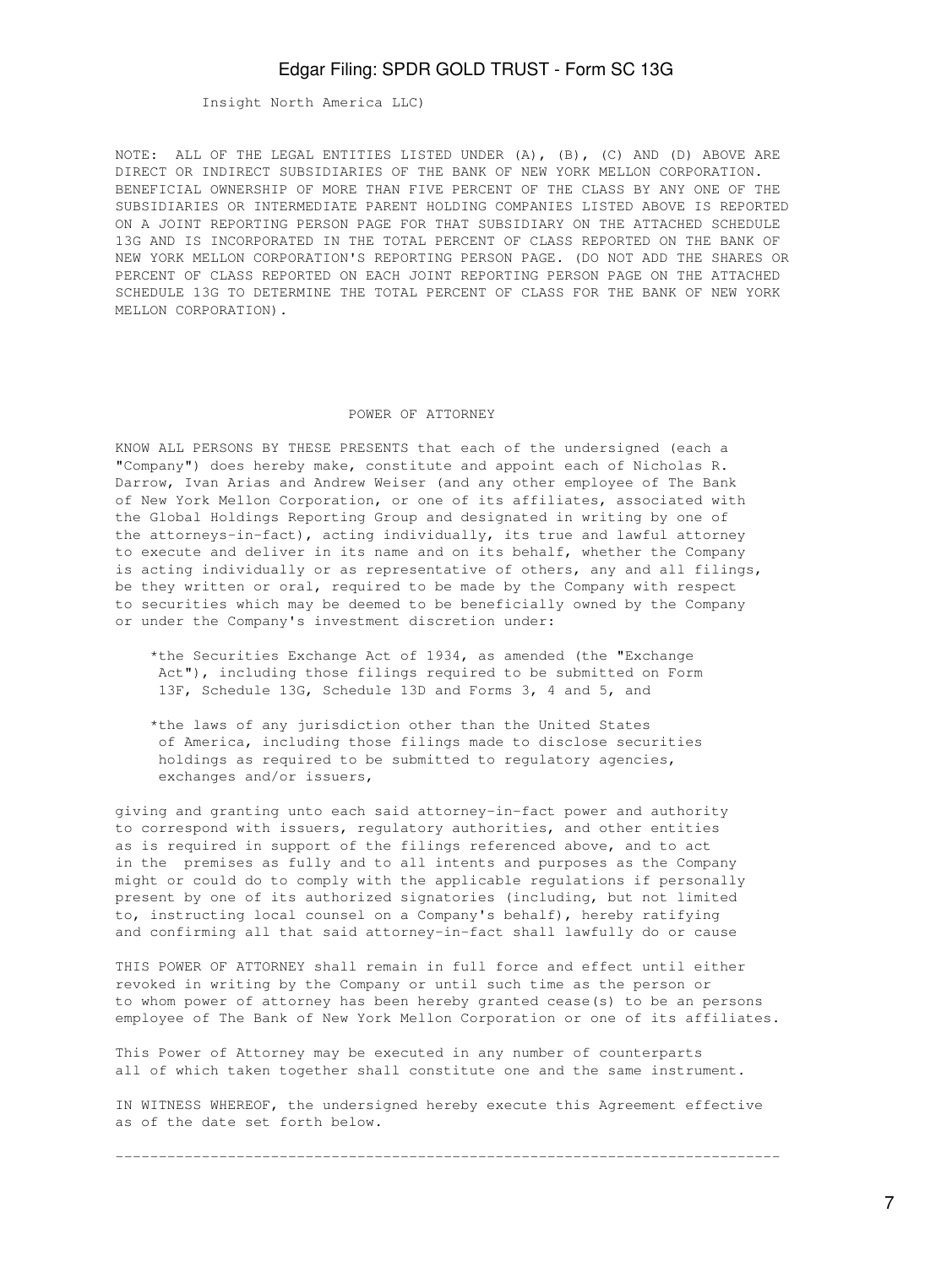Insight North America LLC)

NOTE: ALL OF THE LEGAL ENTITIES LISTED UNDER (A), (B), (C) AND (D) ABOVE ARE DIRECT OR INDIRECT SUBSIDIARIES OF THE BANK OF NEW YORK MELLON CORPORATION. BENEFICIAL OWNERSHIP OF MORE THAN FIVE PERCENT OF THE CLASS BY ANY ONE OF THE SUBSIDIARIES OR INTERMEDIATE PARENT HOLDING COMPANIES LISTED ABOVE IS REPORTED ON A JOINT REPORTING PERSON PAGE FOR THAT SUBSIDIARY ON THE ATTACHED SCHEDULE 13G AND IS INCORPORATED IN THE TOTAL PERCENT OF CLASS REPORTED ON THE BANK OF NEW YORK MELLON CORPORATION'S REPORTING PERSON PAGE. (DO NOT ADD THE SHARES OR PERCENT OF CLASS REPORTED ON EACH JOINT REPORTING PERSON PAGE ON THE ATTACHED SCHEDULE 13G TO DETERMINE THE TOTAL PERCENT OF CLASS FOR THE BANK OF NEW YORK MELLON CORPORATION).

### POWER OF ATTORNEY

KNOW ALL PERSONS BY THESE PRESENTS that each of the undersigned (each a "Company") does hereby make, constitute and appoint each of Nicholas R. Darrow, Ivan Arias and Andrew Weiser (and any other employee of The Bank of New York Mellon Corporation, or one of its affiliates, associated with the Global Holdings Reporting Group and designated in writing by one of the attorneys-in-fact), acting individually, its true and lawful attorney to execute and deliver in its name and on its behalf, whether the Company is acting individually or as representative of others, any and all filings, be they written or oral, required to be made by the Company with respect to securities which may be deemed to be beneficially owned by the Company or under the Company's investment discretion under:

- \*the Securities Exchange Act of 1934, as amended (the "Exchange Act"), including those filings required to be submitted on Form 13F, Schedule 13G, Schedule 13D and Forms 3, 4 and 5, and
- \*the laws of any jurisdiction other than the United States of America, including those filings made to disclose securities holdings as required to be submitted to regulatory agencies, exchanges and/or issuers,

giving and granting unto each said attorney-in-fact power and authority to correspond with issuers, regulatory authorities, and other entities as is required in support of the filings referenced above, and to act in the premises as fully and to all intents and purposes as the Company might or could do to comply with the applicable regulations if personally present by one of its authorized signatories (including, but not limited to, instructing local counsel on a Company's behalf), hereby ratifying and confirming all that said attorney-in-fact shall lawfully do or cause

THIS POWER OF ATTORNEY shall remain in full force and effect until either revoked in writing by the Company or until such time as the person or to whom power of attorney has been hereby granted cease(s) to be an persons employee of The Bank of New York Mellon Corporation or one of its affiliates.

This Power of Attorney may be executed in any number of counterparts all of which taken together shall constitute one and the same instrument.

IN WITNESS WHEREOF, the undersigned hereby execute this Agreement effective as of the date set forth below.

-----------------------------------------------------------------------------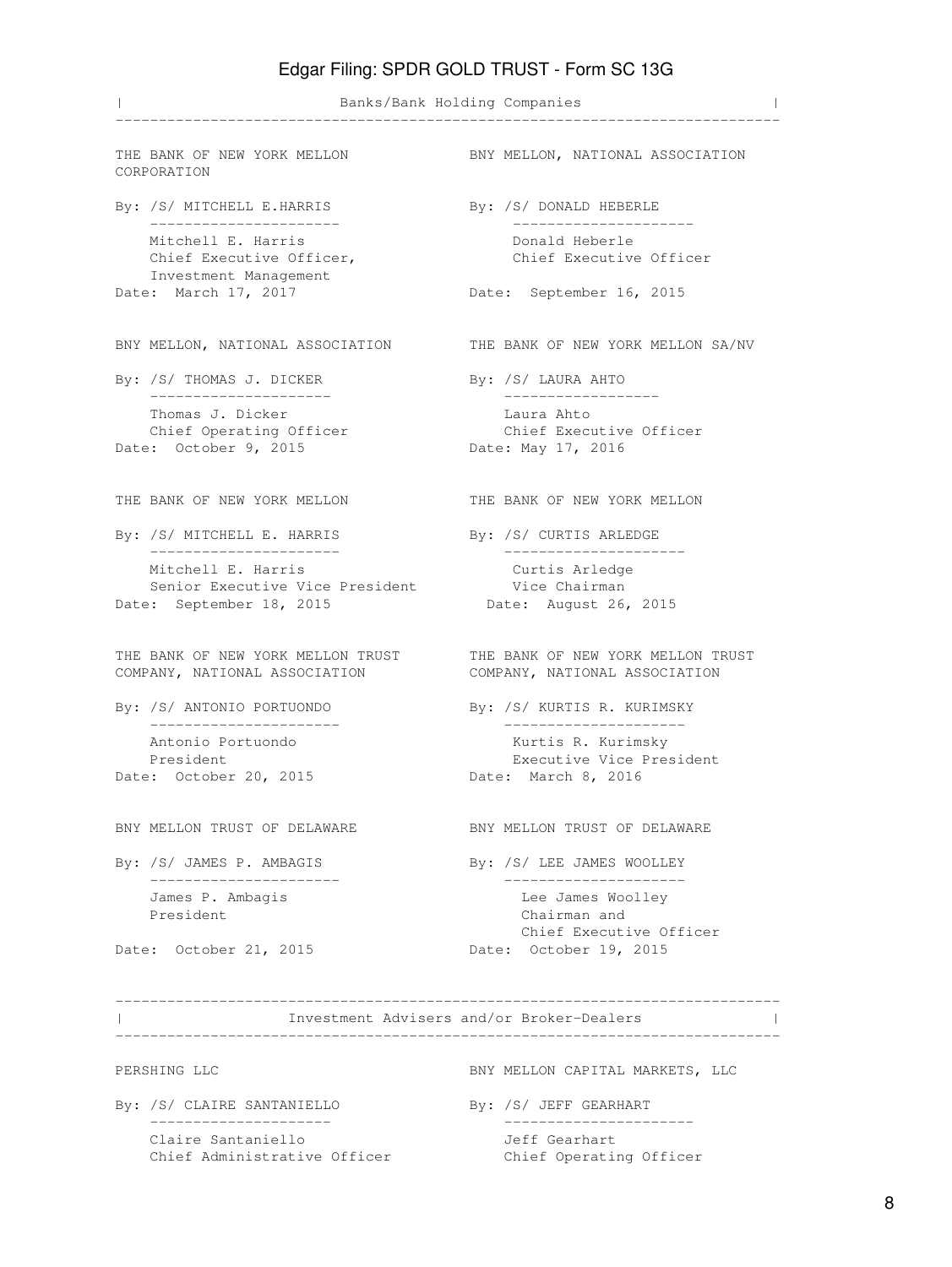| Banks/Bank Holding Companies | ----------------------------------------------------------------------------- THE BANK OF NEW YORK MELLON BNY MELLON, NATIONAL ASSOCIATION CORPORATION By: /S/ MITCHELL E.HARRIS By: /S/ DONALD HEBERLE ---------------------- --------------------- Mitchell E. Harris **E. Australia E. Harris** Donald Heberle Chief Executive Officer, The Chief Executive Officer Investment Management Date: March 17, 2017 Date: September 16, 2015 BNY MELLON, NATIONAL ASSOCIATION THE BANK OF NEW YORK MELLON SA/NV By: /S/ THOMAS J. DICKER By: /S/ LAURA AHTO --------------------- ------------------ Thomas J. Dicker Laura Ahto Chief Operating Officer Chief Executive Officer Date: October 9, 2015 Date: May 17, 2016 THE BANK OF NEW YORK MELLON THE BANK OF NEW YORK MELLON By: /S/ MITCHELL E. HARRIS By: /S/ CURTIS ARLEDGE ---------------------- --------------------- Mitchell E. Harris Curtis Arledge Senior Executive Vice President Vice Chairman Date: September 18, 2015 Date: August 26, 2015 THE BANK OF NEW YORK MELLON TRUST THE BANK OF NEW YORK MELLON TRUST COMPANY, NATIONAL ASSOCIATION COMPANY, NATIONAL ASSOCIATION By: /S/ ANTONIO PORTUONDO By: /S/ KURTIS R. KURIMSKY ---------------------- --------------------- Antonio Portuondo **Kurtis R. Kurimsky**  President Executive Vice President Date: October 20, 2015 Date: March 8, 2016 BNY MELLON TRUST OF DELAWARE BNY MELLON TRUST OF DELAWARE By: /S/ JAMES P. AMBAGIS By: /S/ LEE JAMES WOOLLEY ---------------------- --------------------- James P. Ambagis Lee James Woolley President Chairman and Chairman and Chief Executive Officer Date: October 21, 2015 Date: October 19, 2015 ----------------------------------------------------------------------------- | Investment Advisers and/or Broker-Dealers | ----------------------------------------------------------------------------- PERSHING LLC **BNY MELLON CAPITAL MARKETS, LLC** By: /S/ CLAIRE SANTANIELLO By: /S/ JEFF GEARHART --------------------- ----------------------

Claire Santaniello Jeff Gearhart

Chief Administrative Officer Chief Operating Officer

8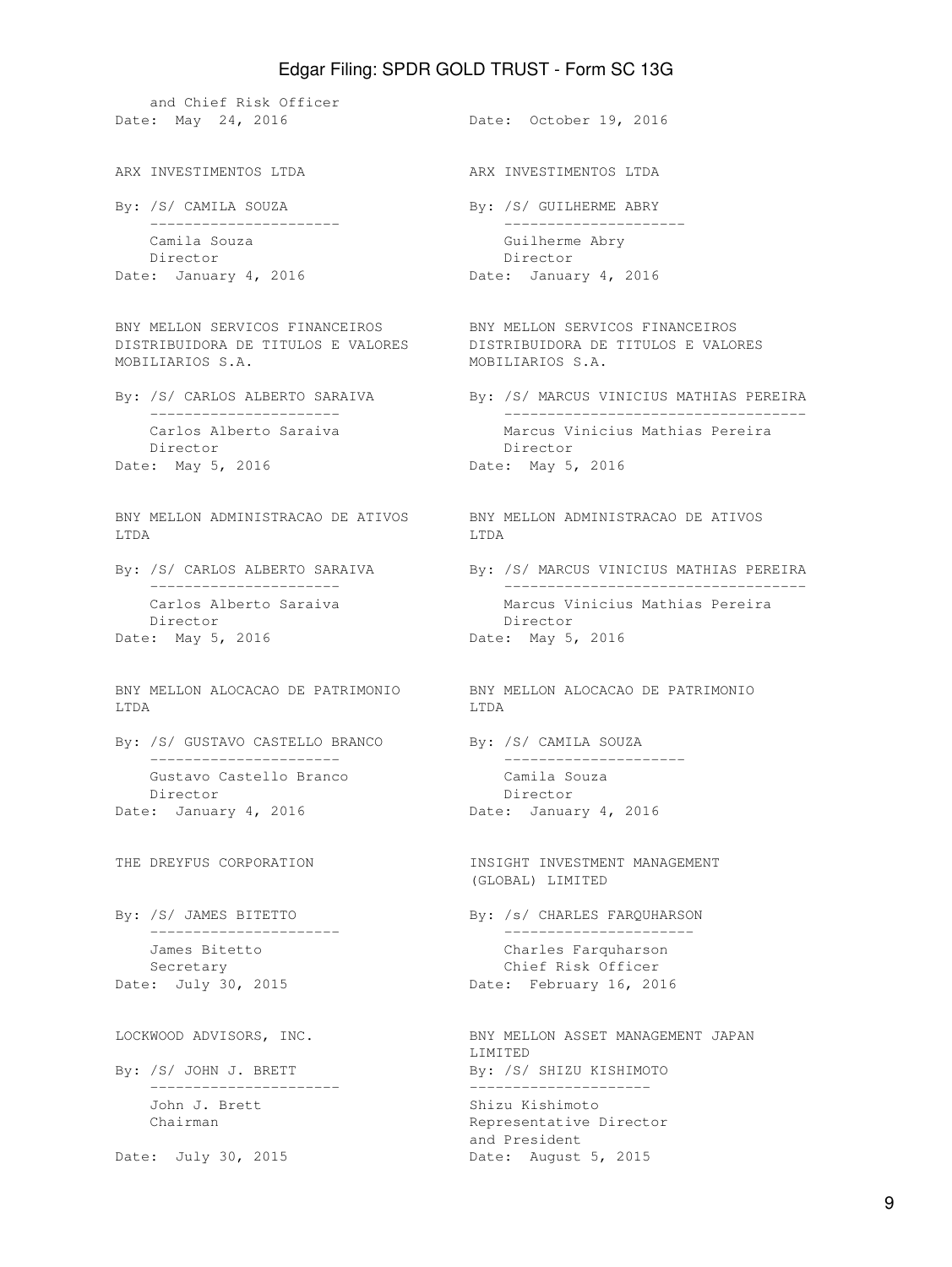and Chief Risk Officer Date: May 24, 2016 **Date: October 19, 2016** ARX INVESTIMENTOS LTDA ARX INVESTIMENTOS LTDA By: /S/ CAMILA SOUZA By: /S/ GUILHERME ABRY ---------------------- --------------------- Camila Souza **Guilherme** Abry Director Director Date: January 4, 2016 Date: January 4, 2016 BNY MELLON SERVICOS FINANCEIROS BNY MELLON SERVICOS FINANCEIROS DISTRIBUIDORA DE TITULOS E VALORES DISTRIBUIDORA DE TITULOS E VALORES MOBILIARIOS S.A. MOBILIARIOS S.A. By: /S/ CARLOS ALBERTO SARAIVA By: /S/ MARCUS VINICIUS MATHIAS PEREIRA ---------------------- ----------------------------------- Carlos Alberto Saraiva Marcus Vinicius Mathias Pereira Director **Director** Director Date: May 5, 2016 Date: May 5, 2016 BNY MELLON ADMINISTRACAO DE ATIVOS BNY MELLON ADMINISTRACAO DE ATIVOS LTDA LTDA By: /S/ CARLOS ALBERTO SARAIVA By: /S/ MARCUS VINICIUS MATHIAS PEREIRA ---------------------- ----------------------------------- Carlos Alberto Saraiva Marcus Vinicius Mathias Pereira Director Director Date: May 5, 2016 **Date: May 5, 2016** BNY MELLON ALOCACAO DE PATRIMONIO BNY MELLON ALOCACAO DE PATRIMONIO LTDA LTDA By: /S/ GUSTAVO CASTELLO BRANCO By: /S/ CAMILA SOUZA ---------------------- --------------------- Gustavo Castello Branco Camila Souza Director Director Date: January 4, 2016 Date: January 4, 2016 THE DREYFUS CORPORATION **INSIGHT INVESTMENT MANAGEMENT**  (GLOBAL) LIMITED By: /S/ JAMES BITETTO By: /s/ CHARLES FARQUHARSON ---------------------- ---------------------- James Bitetto Charles Farquharson Secretary Chief Risk Officer Date: July 30, 2015 Date: February 16, 2016 LOCKWOOD ADVISORS, INC. THE SAME SAME BAY MELLON ASSET MANAGEMENT JAPAN LIMITED By: /S/ JOHN J. BRETT By: /S/ SHIZU KISHIMOTO ---------------------- --------------------- John J. Brett Shizu Kishimoto Chairman **Representative Director**  and President Date: July 30, 2015 Date: August 5, 2015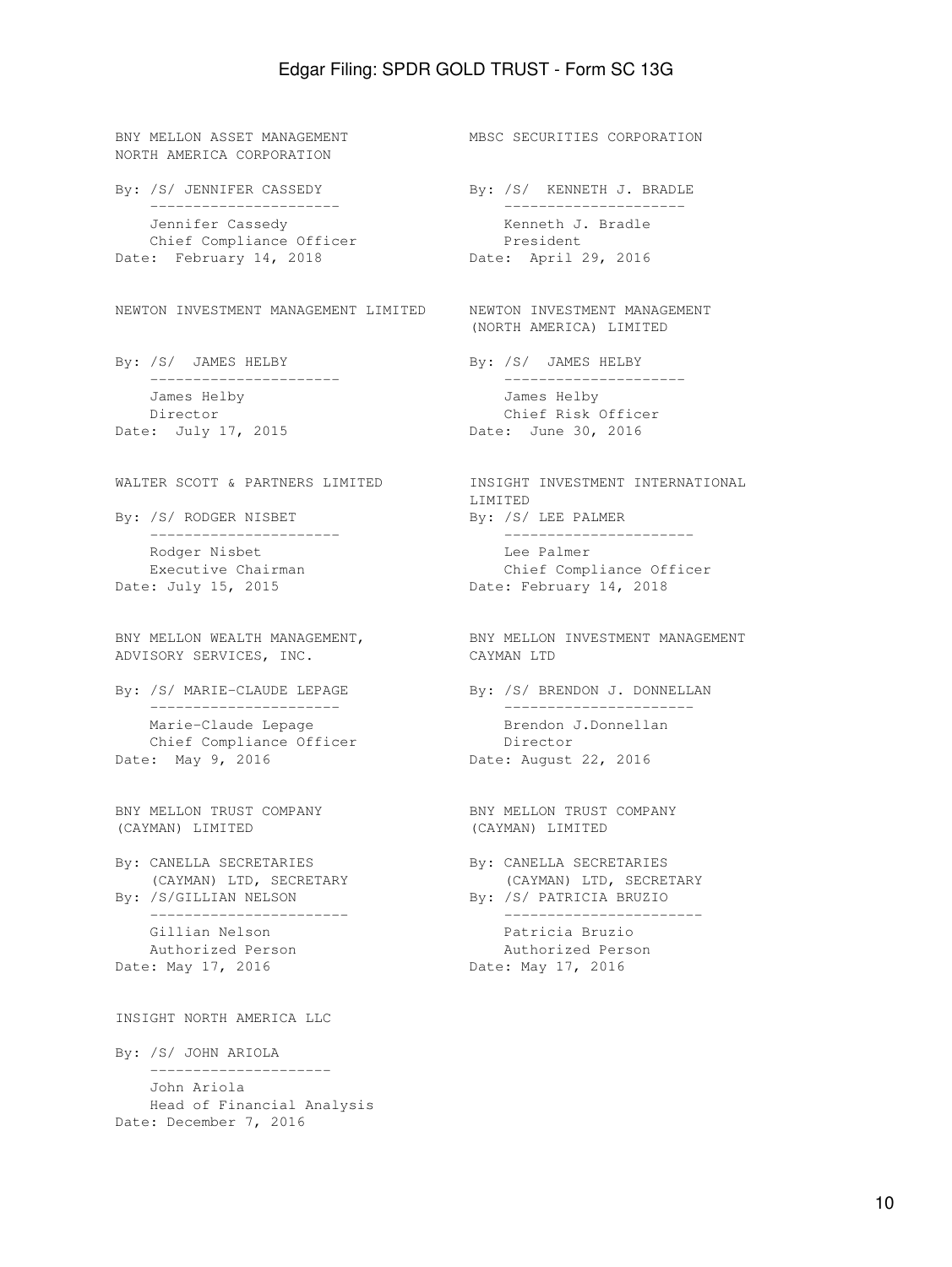BNY MELLON ASSET MANAGEMENT MBSC SECURITIES CORPORATION NORTH AMERICA CORPORATION By: /S/ JENNIFER CASSEDY By: /S/ KENNETH J. BRADLE ---------------------- --------------------- Jennifer Cassedy **East Communist Communist Communist Communist Communist Communist Communist Communist Communist Communist Communist Communist Communist Communist Communist Communist Communist Communist Communist Communist** Chief Compliance Officer **President** Date: February 14, 2018 Date: April 29, 2016 NEWTON INVESTMENT MANAGEMENT LIMITED NEWTON INVESTMENT MANAGEMENT (NORTH AMERICA) LIMITED By: /S/ JAMES HELBY By: /S/ JAMES HELBY ---------------------- --------------------- James Helby James Helby Director Chief Risk Officer Date: July 17, 2015 **Date: June 30, 2016** WALTER SCOTT & PARTNERS LIMITED INSIGHT INVESTMENT INTERNATIONAL LIMITED By: /S/ RODGER NISBET By: /S/ LEE PALMER ---------------------- ---------------------- Rodger Nisbet **Lee Palmer** Executive Chairman and Chief Compliance Officer Date: July 15, 2015 Date: February 14, 2018 BNY MELLON WEALTH MANAGEMENT, BNY MELLON INVESTMENT MANAGEMENT ADVISORY SERVICES, INC. CAYMAN LTD By: /S/ MARIE-CLAUDE LEPAGE By: /S/ BRENDON J. DONNELLAN ---------------------- ---------------------- Marie-Claude Lepage Brendon J.Donnellan<br>
Chief Compliance Officer Director Chief Compliance Officer Date: May 9, 2016 Date: August 22, 2016 BNY MELLON TRUST COMPANY BNY MELLON TRUST COMPANY (CAYMAN) LIMITED (CAYMAN) LIMITED By: CANELLA SECRETARIES By: CANELLA SECRETARIES (CAYMAN) LTD, SECRETARY (CAYMAN) LTD, SECRETARY By: /S/GILLIAN NELSON By: /S/ PATRICIA BRUZIO ----------------------- ----------------------- Gillian Nelson **Patricia Bruzio**  Authorized Person Authorized Person Date: May 17, 2016 **Date: May 17, 2016** INSIGHT NORTH AMERICA LLC By: /S/ JOHN ARIOLA --------------------- John Ariola Head of Financial Analysis Date: December 7, 2016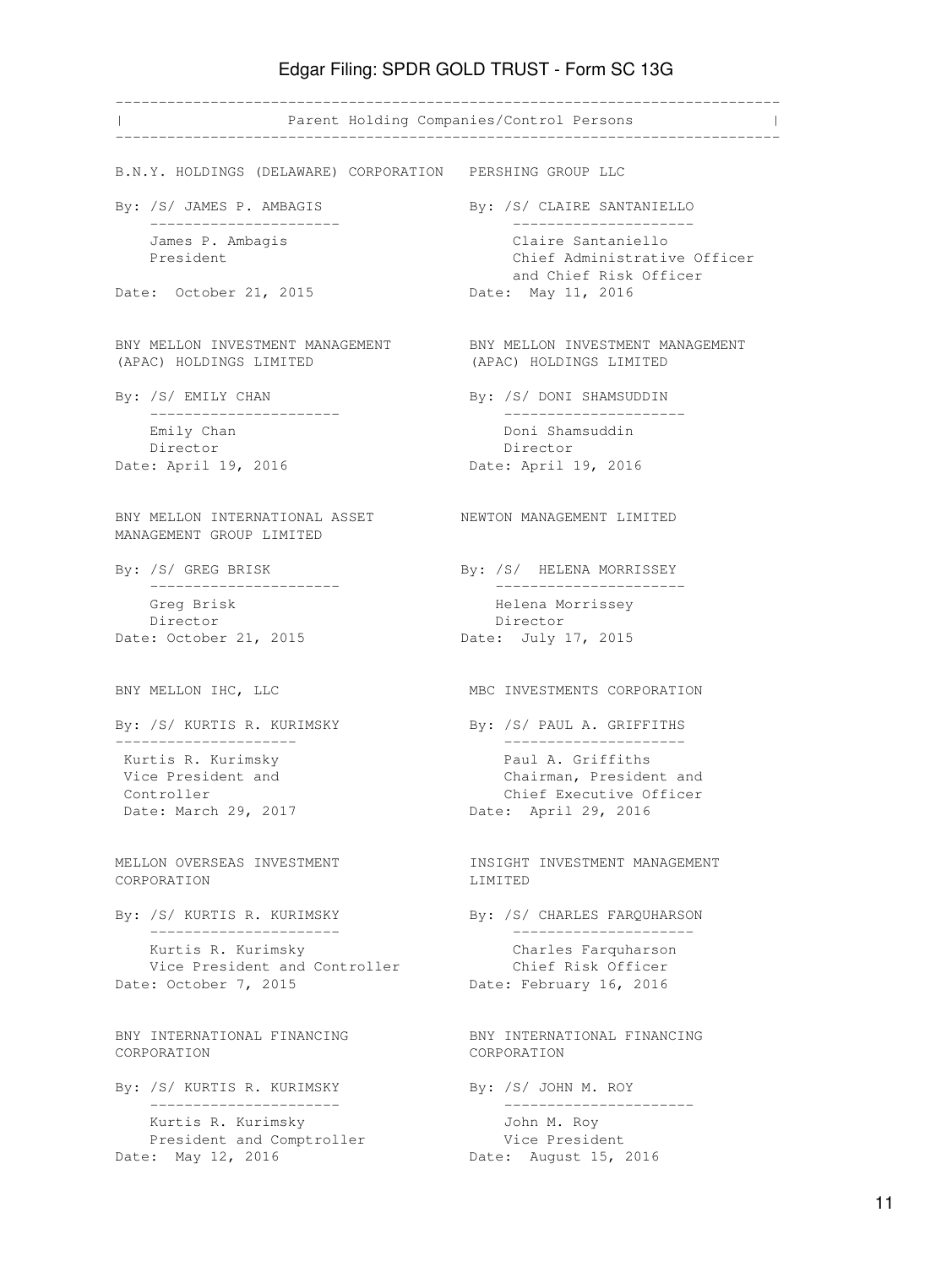----------------------------------------------------------------------------- | Parent Holding Companies/Control Persons | ----------------------------------------------------------------------------- B.N.Y. HOLDINGS (DELAWARE) CORPORATION PERSHING GROUP LLC By: /S/ JAMES P. AMBAGIS By: /S/ CLAIRE SANTANIELLO ---------------------- --------------------- James P. Ambagis Claire Santaniello President **Chief Administrative Officer**  and Chief Risk Officer Date: October 21, 2015 Date: May 11, 2016 BNY MELLON INVESTMENT MANAGEMENT BNY MELLON INVESTMENT MANAGEMENT (APAC) HOLDINGS LIMITED (APAC) HOLDINGS LIMITED By: /S/ EMILY CHAN By: /S/ DONI SHAMSUDDIN ---------------------- --------------------- Doni Shamsuddin Director **Director** Director Date: April 19, 2016 **Date: April 19, 2016** BNY MELLON INTERNATIONAL ASSET NEWTON MANAGEMENT LIMITED MANAGEMENT GROUP LIMITED By: /S/ GREG BRISK By: /S/ HELENA MORRISSEY ---------------------- ---------------------- Greg Brisk Helena Morrissey Director **Director** Date: October 21, 2015 Date: July 17, 2015 BNY MELLON IHC, LLC MBC INVESTMENTS CORPORATION By: /S/ KURTIS R. KURIMSKY By: /S/ PAUL A. GRIFFITHS --------------------- --------------------- Kurtis R. Kurimsky **Paul A. Griffiths**  Vice President and Chairman, President and Controller Controller Controller Controller Controller Controller Controller Controller Controller Controller<br>
Chief Executive Officer Controller Controller Controller Controller Controller Controller Controller Controller Date: April 29, 2016 MELLON OVERSEAS INVESTMENT **INSIGHT INVESTMENT MANAGEMENT** CORPORATION LIMITED By: /S/ KURTIS R. KURIMSKY By: /S/ CHARLES FARQUHARSON ---------------------- --------------------- Kurtis R. Kurimsky Charles Farquharson Vice President and Controller Chief Risk Officer Date: October 7, 2015 **Date: February 16, 2016** BNY INTERNATIONAL FINANCING BNY INTERNATIONAL FINANCING CORPORATION CORPORATION By: /S/ KURTIS R. KURIMSKY By: /S/ JOHN M. ROY ---------------------- ---------------------- Kurtis R. Kurimsky John M. Roy President and Comptroller **Vice President** Date: May 12, 2016 **Date: August 15, 2016**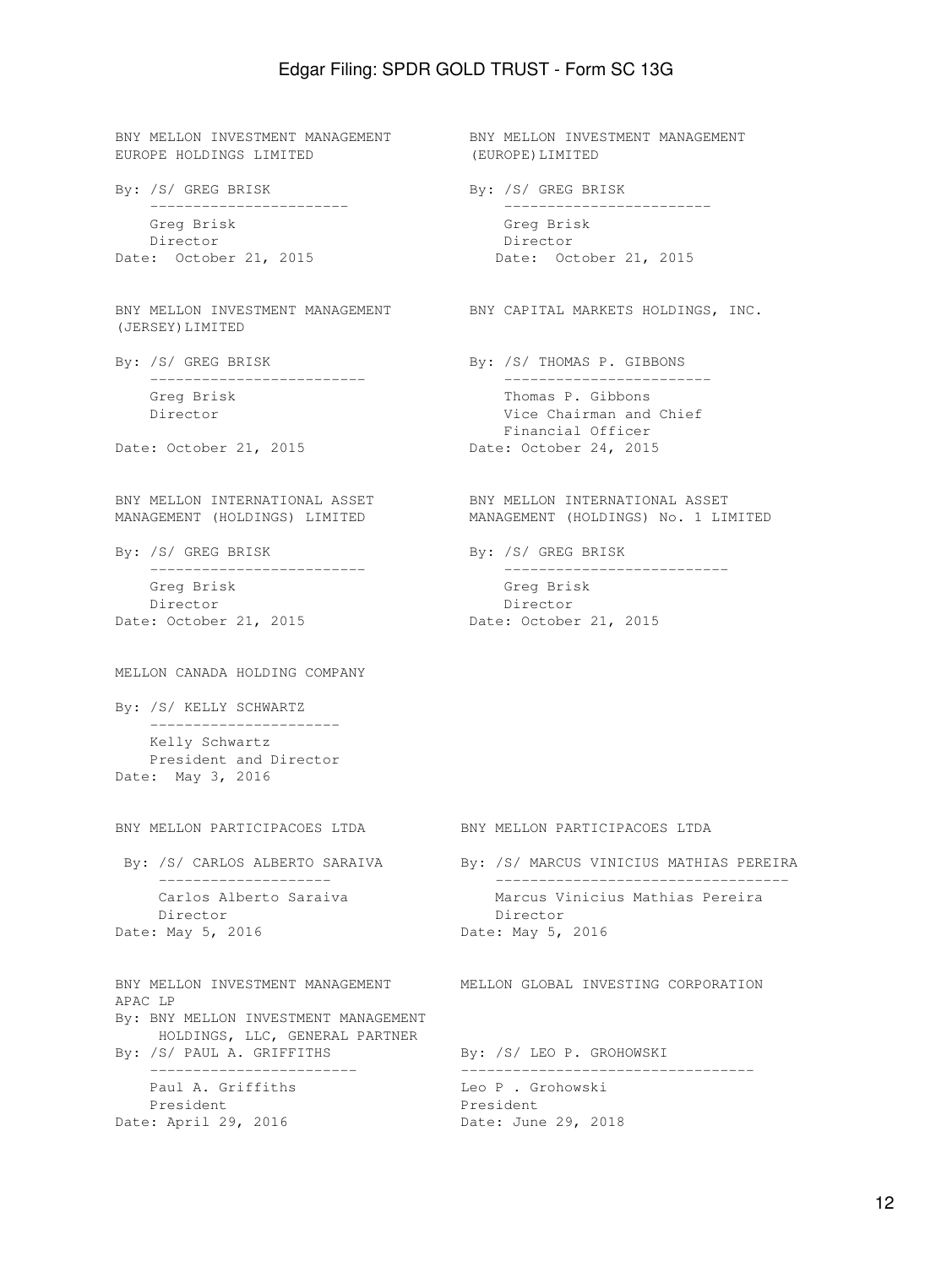BNY MELLON INVESTMENT MANAGEMENT BNY MELLON INVESTMENT MANAGEMENT EUROPE HOLDINGS LIMITED (EUROPE)LIMITED By: /S/ GREG BRISK By: /S/ GREG BRISK ----------------------- ------------------------ Greg Brisk Greg Brisk Director Director Date: October 21, 2015 Date: October 21, 2015 BNY MELLON INVESTMENT MANAGEMENT BNY CAPITAL MARKETS HOLDINGS, INC. (JERSEY)LIMITED By: /S/ GREG BRISK By: /S/ THOMAS P. GIBBONS ------------------------- ------------------------ Greg Brisk Thomas P. Gibbons Director **Vice Chairman and Chief**  Financial Officer Date: October 21, 2015 Date: October 24, 2015 BNY MELLON INTERNATIONAL ASSET BNY MELLON INTERNATIONAL ASSET MANAGEMENT (HOLDINGS) LIMITED MANAGEMENT (HOLDINGS) No. 1 LIMITED By: /S/ GREG BRISK By: /S/ GREG BRISK ------------------------- -------------------------- Greg Brisk Greg Brisk Director **Director** Director Date: October 21, 2015 Date: October 21, 2015 MELLON CANADA HOLDING COMPANY By: /S/ KELLY SCHWARTZ ---------------------- Kelly Schwartz President and Director Date: May 3, 2016 BNY MELLON PARTICIPACOES LTDA BNY MELLON PARTICIPACOES LTDA By: /S/ CARLOS ALBERTO SARAIVA By: /S/ MARCUS VINICIUS MATHIAS PEREIRA -------------------- ---------------------------------- Carlos Alberto Saraiva Marcus Vinicius Mathias Pereira Director Director Date: May 5, 2016 Date: May 5, 2016 BNY MELLON INVESTMENT MANAGEMENT MELLON GLOBAL INVESTING CORPORATION APAC LP By: BNY MELLON INVESTMENT MANAGEMENT HOLDINGS, LLC, GENERAL PARTNER By: /S/ PAUL A. GRIFFITHS By: /S/ LEO P. GROHOWSKI ------------------------ ---------------------------------- Paul A. Griffiths  $\qquad \qquad \text{Leo P . Grohowski}$ President President Date: April 29, 2016 Date: June 29, 2018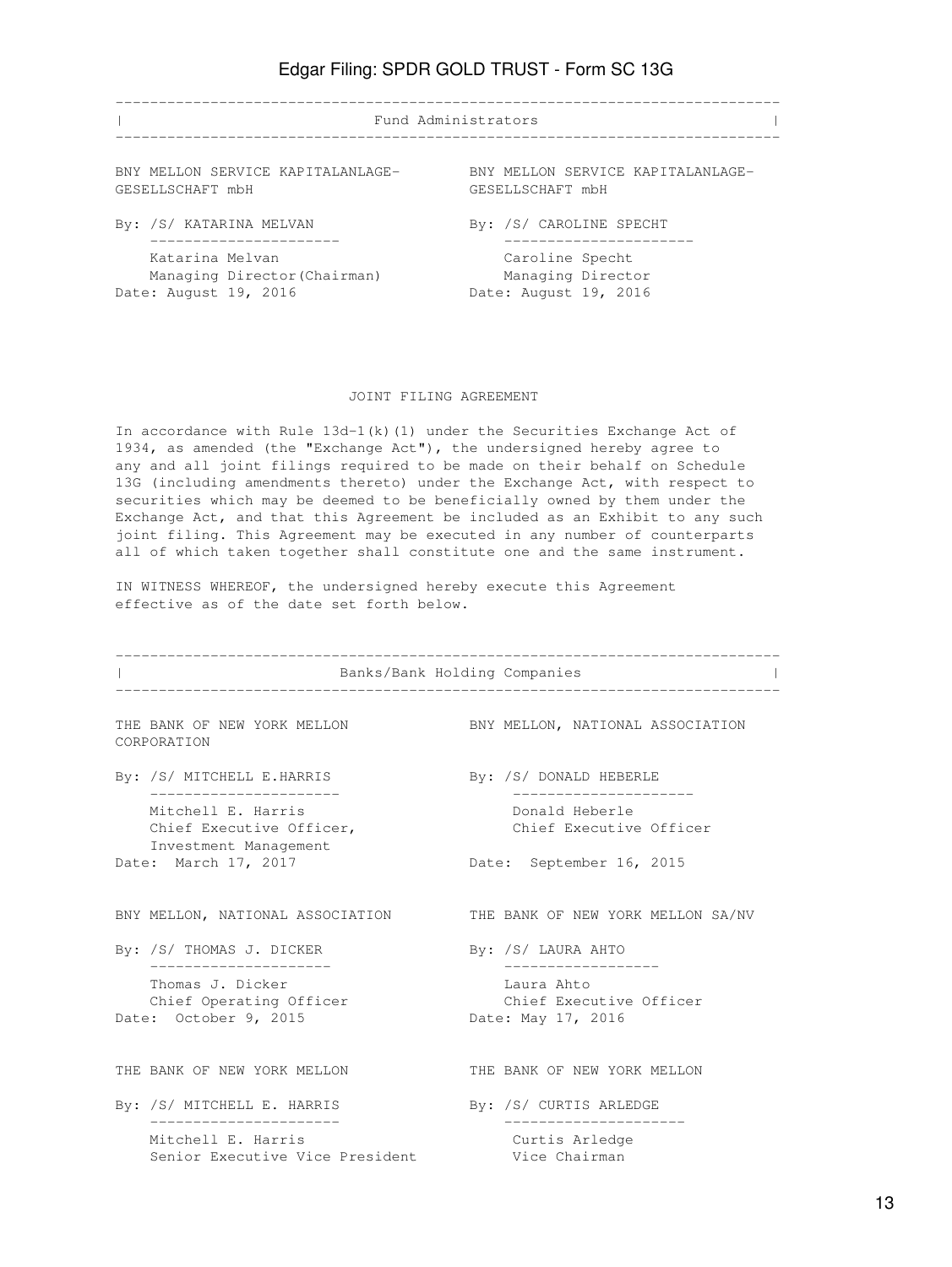| Fund Administrators               |                                   |
|-----------------------------------|-----------------------------------|
| BNY MELLON SERVICE KAPITALANLAGE- | BNY MELLON SERVICE KAPITALANLAGE- |
| GESELLSCHAFT mbH                  | GESELLSCHAFT mbH                  |
| By: /S/ KATARINA MELVAN           | By: /S/ CAROLINE SPECHT           |
| Katarina Melyan                   | Caroline Specht                   |
| Managing Director (Chairman)      | Managing Director                 |
| Date: August 19, 2016             | Date: August 19, 2016             |

#### JOINT FILING AGREEMENT

In accordance with Rule  $13d-1(k)(1)$  under the Securities Exchange Act of 1934, as amended (the "Exchange Act"), the undersigned hereby agree to any and all joint filings required to be made on their behalf on Schedule 13G (including amendments thereto) under the Exchange Act, with respect to securities which may be deemed to be beneficially owned by them under the Exchange Act, and that this Agreement be included as an Exhibit to any such joint filing. This Agreement may be executed in any number of counterparts all of which taken together shall constitute one and the same instrument.

IN WITNESS WHEREOF, the undersigned hereby execute this Agreement effective as of the date set forth below.

|                      |                                                                         | Banks/Bank Holding Companies |                                                                 |
|----------------------|-------------------------------------------------------------------------|------------------------------|-----------------------------------------------------------------|
|                      | THE BANK OF NEW YORK MELLON<br>CORPORATION                              |                              | BNY MELLON, NATIONAL ASSOCIATION                                |
|                      | By: /S/ MITCHELL E.HARRIS<br>-------------------                        |                              | By: /S/ DONALD HEBERLE<br>. _ _ _ _ _ _ _ _ _ _ _ _ _ _ _ _ _ _ |
|                      | Mitchell E. Harris<br>Chief Executive Officer,<br>Investment Management |                              | Donald Heberle<br>Chief Executive Officer                       |
| Date: March 17, 2017 |                                                                         |                              | Date: September 16, 2015                                        |
|                      | BNY MELLON, NATIONAL ASSOCIATION                                        |                              | THE BANK OF NEW YORK MELLON SA/NV                               |
|                      | By: /S/ THOMAS J. DICKER<br>. _ _ _ _ _ _ _ _ _ _ _ _ _ _ _ _ _         |                              | By: /S/ LAURA AHTO<br>___________________                       |
|                      | Thomas J. Dicker<br>Chief Operating Officer<br>Date: October 9, 2015    |                              | Laura Ahto<br>Chief Executive Officer<br>Date: May 17, 2016     |
|                      | THE BANK OF NEW YORK MELLON                                             |                              | THE BANK OF NEW YORK MELLON                                     |
|                      | By: /S/ MITCHELL E. HARRIS<br>. _ _ _ _ _ _ _ _ _ _ _ _ _               |                              | By: /S/ CURTIS ARLEDGE                                          |
|                      | Mitchell E. Harris<br>Senior Executive Vice President                   |                              | Curtis Arledge<br>Vice Chairman                                 |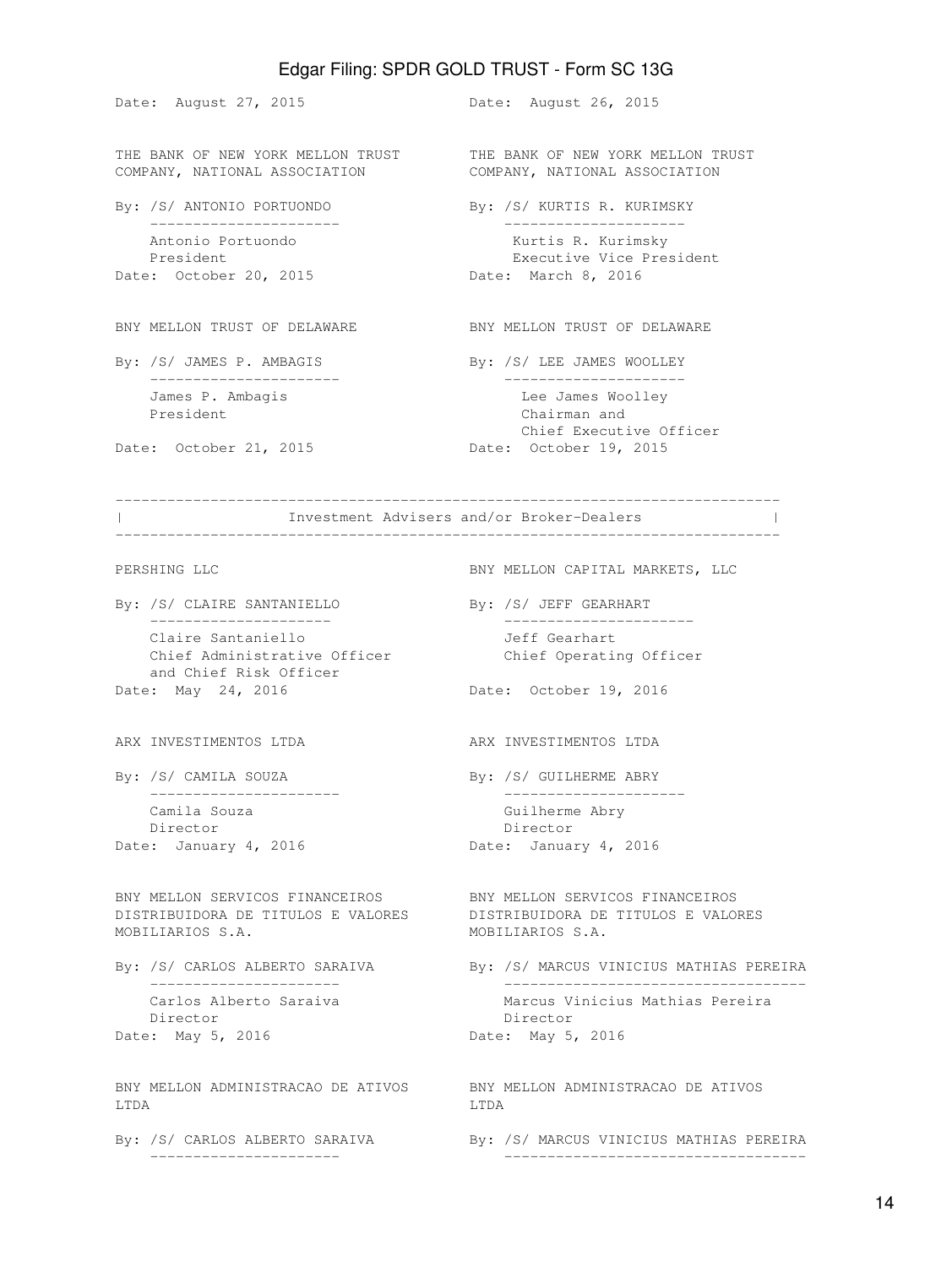Date: August 27, 2015 **Date: August 26, 2015** THE BANK OF NEW YORK MELLON TRUST THE BANK OF NEW YORK MELLON TRUST COMPANY, NATIONAL ASSOCIATION COMPANY, NATIONAL ASSOCIATION By: /S/ ANTONIO PORTUONDO By: /S/ KURTIS R. KURIMSKY ---------------------- --------------------- Antonio Portuondo **Kurtis R. Kurimsky**  President Executive Vice President Date: October 20, 2015 Date: March 8, 2016 BNY MELLON TRUST OF DELAWARE BNY MELLON TRUST OF DELAWARE By: /S/ JAMES P. AMBAGIS By: /S/ LEE JAMES WOOLLEY ---------------------- --------------------- James P. Ambagis Lee James Woolley President Chairman and Chief Executive Officer Date: October 21, 2015 Date: October 19, 2015 ----------------------------------------------------------------------------- | Investment Advisers and/or Broker-Dealers | ----------------------------------------------------------------------------- PERSHING LLC BNY MELLON CAPITAL MARKETS, LLC By: /S/ CLAIRE SANTANIELLO By: /S/ JEFF GEARHART --------------------- ---------------------- Claire Santaniello Jeff Gearhart Chief Administrative Officer Chief Operating Officer and Chief Risk Officer Date: May 24, 2016 **Date: October 19, 2016** ARX INVESTIMENTOS LTDA ARX INVESTIMENTOS LTDA By: /S/ CAMILA SOUZA By: /S/ GUILHERME ABRY ---------------------- --------------------- Camila Souza Guilherme Abry Director **Director** Director Date: January 4, 2016 Date: January 4, 2016 BNY MELLON SERVICOS FINANCEIROS BNY MELLON SERVICOS FINANCEIROS DISTRIBUIDORA DE TITULOS E VALORES DISTRIBUIDORA DE TITULOS E VALORES MOBILIARIOS S.A. MOBILIARIOS S.A. By: /S/ CARLOS ALBERTO SARAIVA By: /S/ MARCUS VINICIUS MATHIAS PEREIRA ---------------------- ----------------------------------- Carlos Alberto Saraiva Marcus Vinicius Mathias Pereira Director Director Date: May 5, 2016 **Date: May 5, 2016** BNY MELLON ADMINISTRACAO DE ATIVOS BNY MELLON ADMINISTRACAO DE ATIVOS LTDA LTDA By: /S/ CARLOS ALBERTO SARAIVA By: /S/ MARCUS VINICIUS MATHIAS PEREIRA ---------------------- -----------------------------------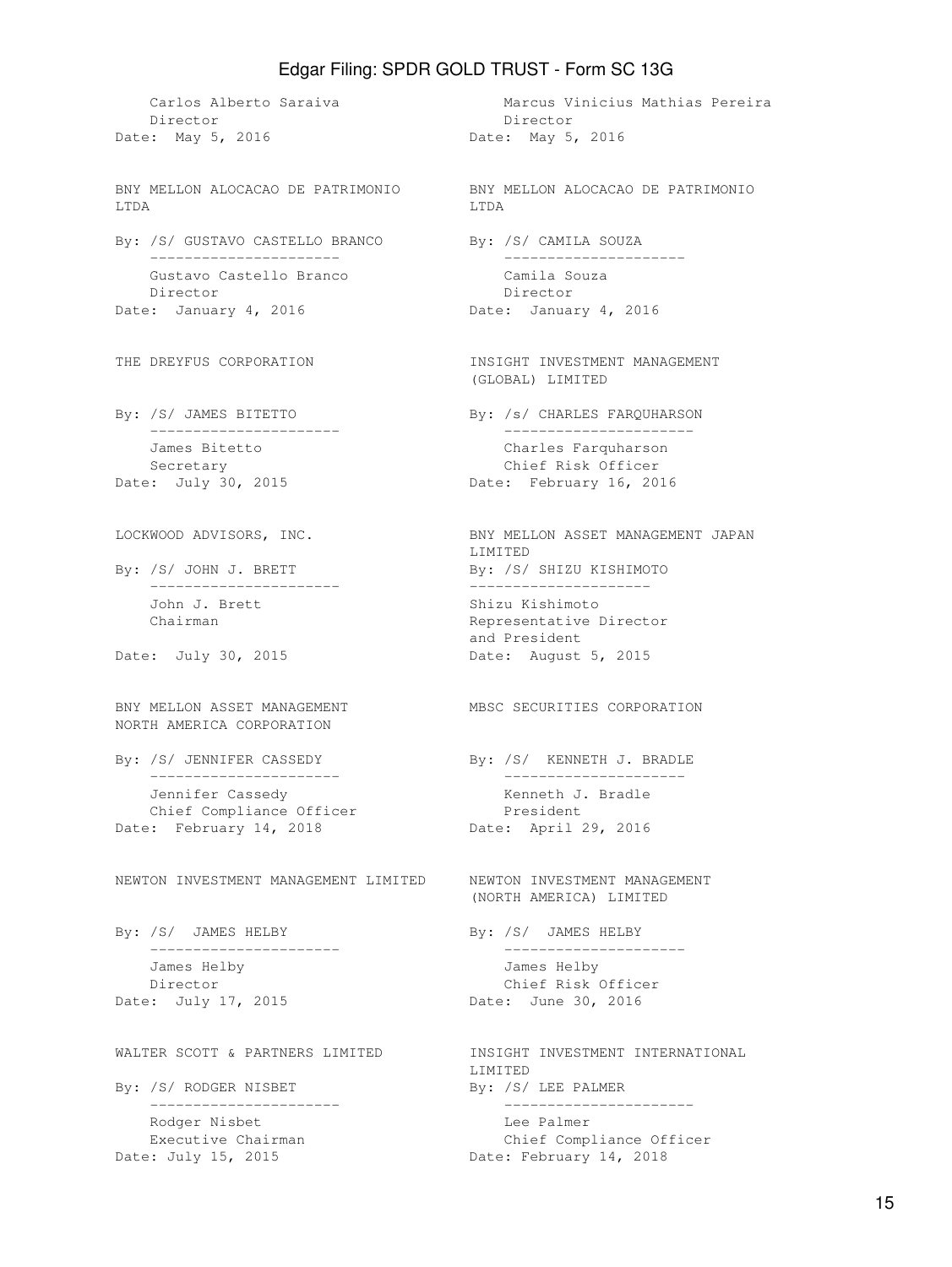Director Director Date: May 5, 2016 00: Date: May 5, 2016 BNY MELLON ALOCACAO DE PATRIMONIO BNY MELLON ALOCACAO DE PATRIMONIO LTDA LTDA By: /S/ GUSTAVO CASTELLO BRANCO By: /S/ CAMILA SOUZA ---------------------- --------------------- Gustavo Castello Branco Camila Souza Director Director Date: January 4, 2016 Quantity Date: January 4, 2016 THE DREYFUS CORPORATION **INSIGHT INVESTMENT MANAGEMENT** By: /S/ JAMES BITETTO By: /s/ CHARLES FARQUHARSON ---------------------- ---------------------- James Bitetto Charles Farquharson Secretary **Chief Risk Officer** Date: July 30, 2015 **Date: February 16, 2016** LOCKWOOD ADVISORS, INC. BNY MELLON ASSET MANAGEMENT JAPAN By: /S/ JOHN J. BRETT By: /S/ SHIZU KISHIMOTO ---------------------- --------------------- John J. Brett Shizu Kishimoto Chairman **Representative Director** Date: July 30, 2015 **Date: August 5, 2015** BNY MELLON ASSET MANAGEMENT MBSC SECURITIES CORPORATION NORTH AMERICA CORPORATION By: /S/ JENNIFER CASSEDY By: /S/ KENNETH J. BRADLE ---------------------- --------------------- Jennifer Cassedy Kenneth J. Bradle Chief Compliance Officer Date: February 14, 2018 Date: April 29, 2016 NEWTON INVESTMENT MANAGEMENT LIMITED NEWTON INVESTMENT MANAGEMENT By: /S/ JAMES HELBY By: /S/ JAMES HELBY ---------------------- --------------------- James Helby James Helby Director Chief Risk Officer Date: July 17, 2015 **Date: June 30, 2016** WALTER SCOTT & PARTNERS LIMITED **INSIGHT INVESTMENT INTERNATIONAL** By: /S/ RODGER NISBET By: /S/ LEE PALMER ---------------------- ---------------------- Rodger Nisbet **Lee Palmer** Lee Palmer Executive Chairman and Chief Compliance Officer Date: July 15, 2015 Date: February 14, 2018

Carlos Alberto Saraiva Marcus Vinicius Mathias Pereira (GLOBAL) LIMITED LIMITED and President (NORTH AMERICA) LIMITED LIMITED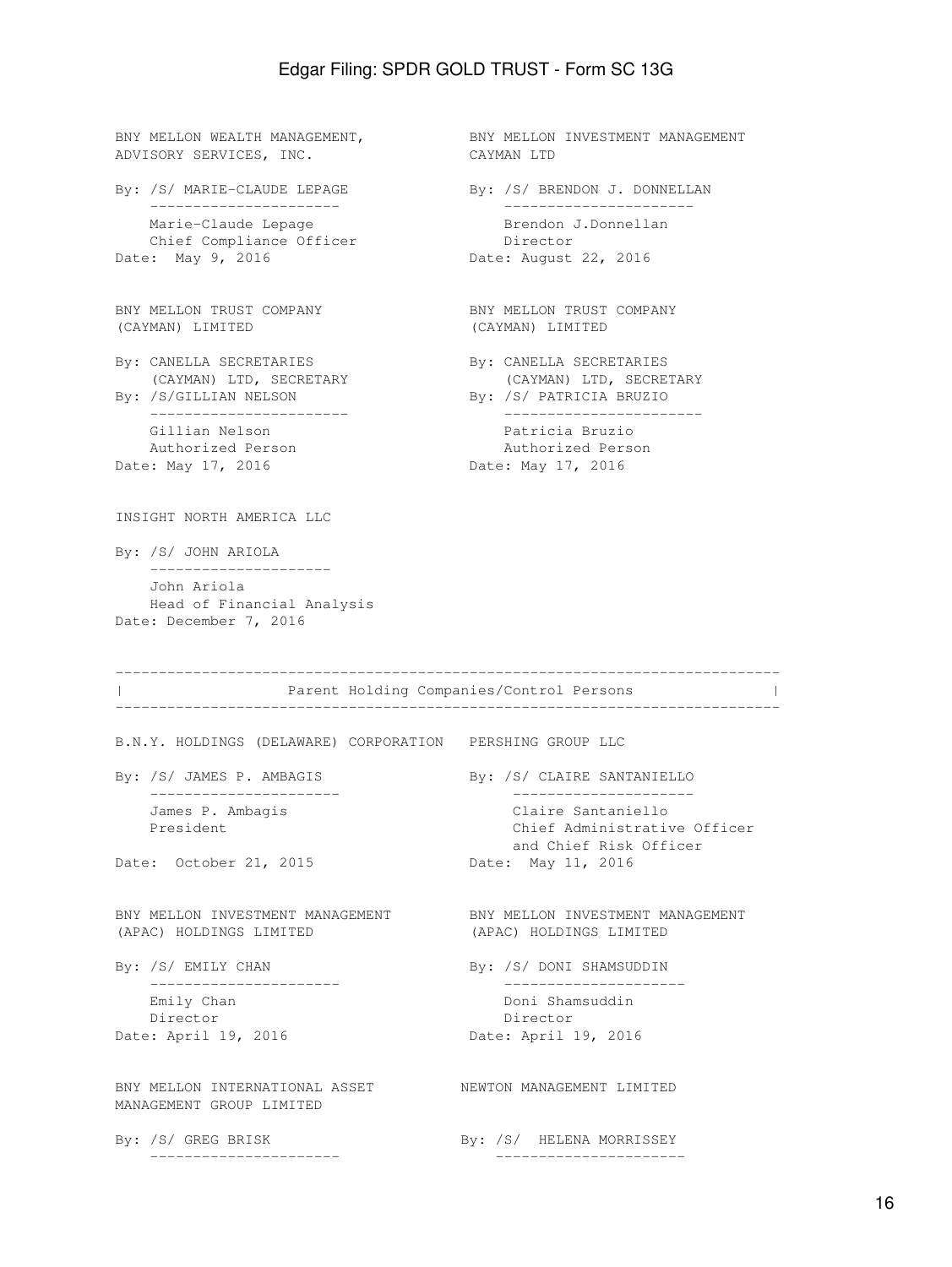BNY MELLON WEALTH MANAGEMENT, BNY MELLON INVESTMENT MANAGEMENT ADVISORY SERVICES, INC. CAYMAN LTD By: /S/ MARIE-CLAUDE LEPAGE By: /S/ BRENDON J. DONNELLAN ---------------------- ---------------------- Marie-Claude Lepage Brendon J.Donnellan Chief Compliance Officer **Director** Date: May 9, 2016 Date: August 22, 2016 BNY MELLON TRUST COMPANY BNY MELLON TRUST COMPANY (CAYMAN) LIMITED (CAYMAN) LIMITED By: CANELLA SECRETARIES By: CANELLA SECRETARIES (CAYMAN) LTD, SECRETARY (CAYMAN) LTD, SECRETARY By: /S/GILLIAN NELSON By: /S/ PATRICIA BRUZIO ----------------------- ----------------------- Gillian Nelson **Patricia Bruzio**  Authorized Person Authorized Person Date: May 17, 2016 Date: May 17, 2016 INSIGHT NORTH AMERICA LLC By: /S/ JOHN ARIOLA --------------------- John Ariola Head of Financial Analysis Date: December 7, 2016 ----------------------------------------------------------------------------- | Parent Holding Companies/Control Persons | ----------------------------------------------------------------------------- B.N.Y. HOLDINGS (DELAWARE) CORPORATION PERSHING GROUP LLC By: /S/ JAMES P. AMBAGIS By: /S/ CLAIRE SANTANIELLO ---------------------- --------------------- James P. Ambagis Claire Santaniello President **Chief Administrative Officer**  and Chief Risk Officer Date: October 21, 2015 Date: May 11, 2016 BNY MELLON INVESTMENT MANAGEMENT BNY MELLON INVESTMENT MANAGEMENT (APAC) HOLDINGS LIMITED (APAC) HOLDINGS LIMITED By: /S/ EMILY CHAN By: /S/ DONI SHAMSUDDIN ---------------------- --------------------- Emily Chan Doni Shamsuddin Director Director Date: April 19, 2016 Date: April 19, 2016 BNY MELLON INTERNATIONAL ASSET NEWTON MANAGEMENT LIMITED MANAGEMENT GROUP LIMITED By: /S/ GREG BRISK By: /S/ HELENA MORRISSEY ---------------------- ----------------------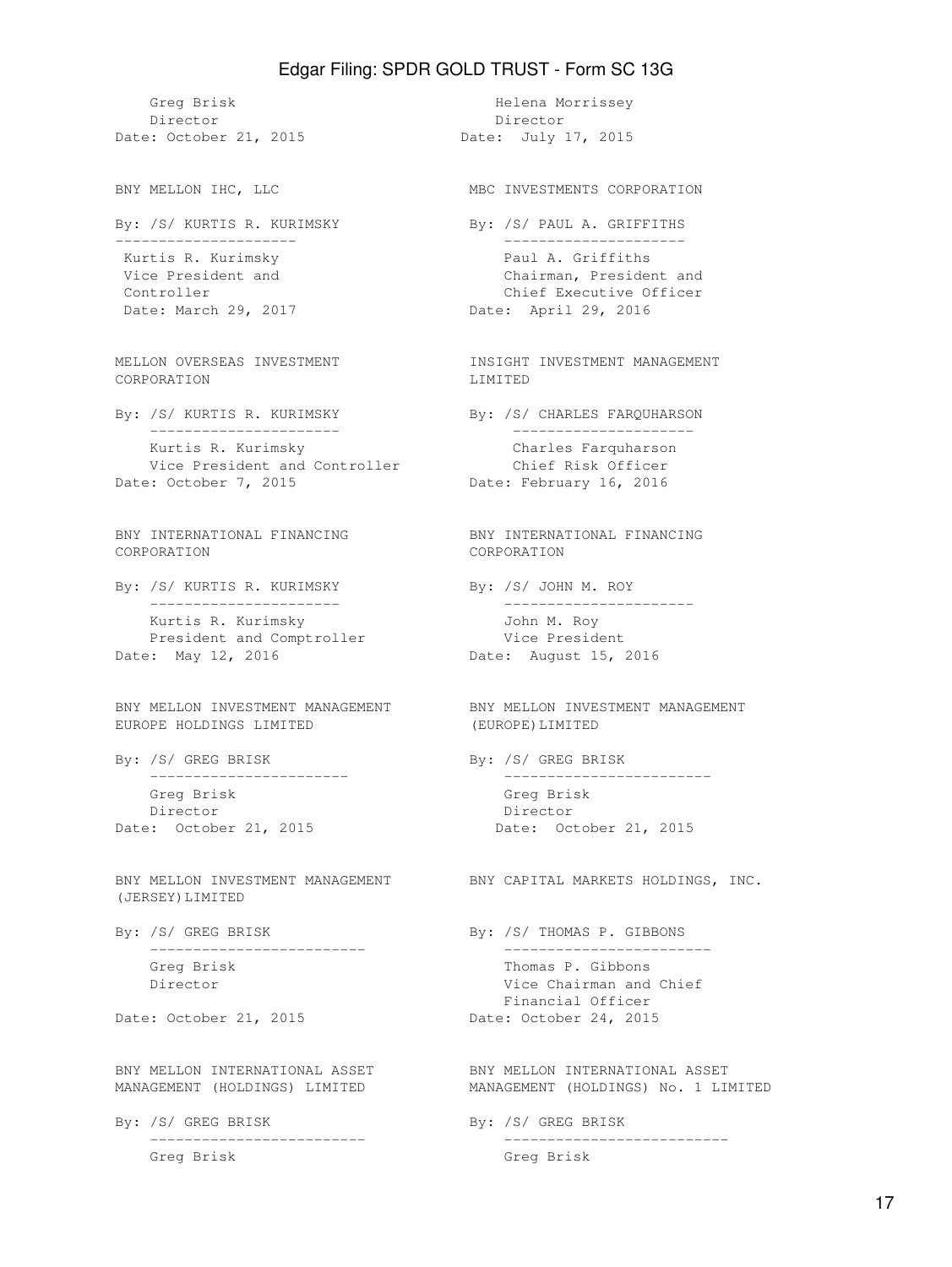Greg Brisk Morrissey Director Director Date: October 21, 2015 Date: July 17, 2015 BNY MELLON IHC, LLC **MBC INVESTMENTS CORPORATION** By: /S/ KURTIS R. KURIMSKY By: /S/ PAUL A. GRIFFITHS --------------------- --------------------- Kurtis R. Kurimsky Paul A. Griffiths Vice President and Chairman, President and Controller Controller Chief Executive Officer Date: March 29, 2017 Quantity Date: April 29, 2016 MELLON OVERSEAS INVESTMENT **INSIGHT INVESTMENT MANAGEMENT** CORPORATION LIMITED By: /S/ KURTIS R. KURIMSKY By: /S/ CHARLES FARQUHARSON ---------------------- --------------------- Kurtis R. Kurimsky Charles Farquharson Vice President and Controller Chief Risk Officer Date: October 7, 2015 Date: February 16, 2016 BNY INTERNATIONAL FINANCING BNY INTERNATIONAL FINANCING CORPORATION CORPORATION By: /S/ KURTIS R. KURIMSKY By: /S/ JOHN M. ROY ---------------------- ---------------------- Kurtis R. Kurimsky Martin Chambrea John M. Roy President and Comptroller Vice President Date: May 12, 2016 Date: August 15, 2016 BNY MELLON INVESTMENT MANAGEMENT BNY MELLON INVESTMENT MANAGEMENT EUROPE HOLDINGS LIMITED (EUROPE)LIMITED By: /S/ GREG BRISK By: /S/ GREG BRISK ----------------------- ------------------------ Greg Brisk Greg Brisk Director Director Date: October 21, 2015 Date: October 21, 2015 BNY MELLON INVESTMENT MANAGEMENT BNY CAPITAL MARKETS HOLDINGS, INC. (JERSEY)LIMITED By: /S/ GREG BRISK By: /S/ THOMAS P. GIBBONS ------------------------- ------------------------ Greg Brisk Thomas P. Gibbons Director **Vice Chairman and Chief** Date: October 21, 2015 Date: October 24, 2015 BNY MELLON INTERNATIONAL ASSET BNY MELLON INTERNATIONAL ASSET MANAGEMENT (HOLDINGS) LIMITED MANAGEMENT (HOLDINGS) No. 1 LIMITED By: /S/ GREG BRISK By: /S/ GREG BRISK

Greg Brisk Greg Brisk

Financial Officer

------------------------- --------------------------